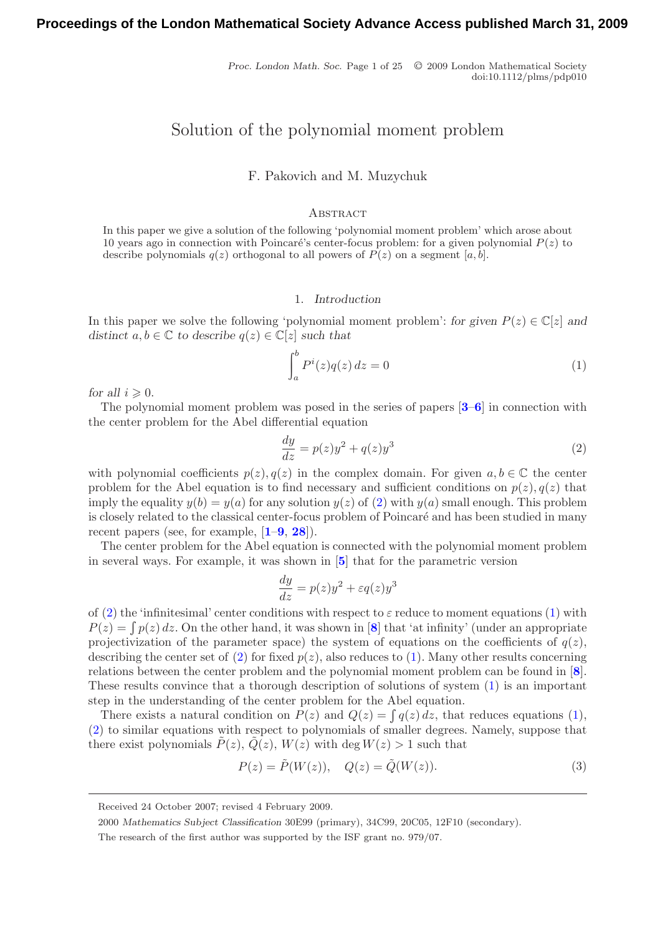Proc. London Math. Soc. Page 1 of 25  $\circ$  2009 London Mathematical Society doi:10.1112/plms/pdp010

# Solution of the polynomial moment problem

F. Pakovich and M. Muzychuk

#### **ABSTRACT**

In this paper we give a solution of the following 'polynomial moment problem' which arose about 10 years ago in connection with Poincaré's center-focus problem: for a given polynomial  $P(z)$  to describe polynomials  $q(z)$  orthogonal to all powers of  $P(z)$  on a segment [a, b].

#### 1. *Introduction*

In this paper we solve the following 'polynomial moment problem': *for given*  $P(z) \in \mathbb{C}[z]$  *and distinct*  $a, b \in \mathbb{C}$  *to describe*  $q(z) \in \mathbb{C}[z]$  *such that* 

<span id="page-0-1"></span>
$$
\int_{a}^{b} P^{i}(z)q(z) dz = 0
$$
\n(1)

*for all*  $i \geqslant 0$ .

The polynomial moment problem was posed in the series of papers [**[3](#page-23-0)**–**[6](#page-23-1)**] in connection with the center problem for the Abel differential equation

<span id="page-0-0"></span>
$$
\frac{dy}{dz} = p(z)y^2 + q(z)y^3\tag{2}
$$

with polynomial coefficients  $p(z)$ ,  $q(z)$  in the complex domain. For given  $a, b \in \mathbb{C}$  the center problem for the Abel equation is to find necessary and sufficient conditions on  $p(z)$ ,  $q(z)$  that imply the equality  $y(b) = y(a)$  for any solution  $y(z)$  of [\(2\)](#page-0-0) with  $y(a)$  small enough. This problem is closely related to the classical center-focus problem of Poincaré and has been studied in many recent papers (see, for example, [**[1](#page-23-2)**–**[9](#page-23-3)**, **[28](#page-24-0)**]).

The center problem for the Abel equation is connected with the polynomial moment problem in several ways. For example, it was shown in [**[5](#page-23-4)**] that for the parametric version

$$
\frac{dy}{dz} = p(z)y^2 + \varepsilon q(z)y^3
$$

of [\(2\)](#page-0-0) the 'infinitesimal' center conditions with respect to  $\varepsilon$  reduce to moment equations [\(1\)](#page-0-1) with  $P(z) = \int p(z) dz$ . On the other hand, it was shown in [[8](#page-23-5)] that 'at infinity' (under an appropriate projectivization of the parameter space) the system of equations on the coefficients of  $q(z)$ , describing the center set of [\(2\)](#page-0-0) for fixed  $p(z)$ , also reduces to [\(1\)](#page-0-1). Many other results concerning relations between the center problem and the polynomial moment problem can be found in [**[8](#page-23-5)**]. These results convince that a thorough description of solutions of system [\(1\)](#page-0-1) is an important step in the understanding of the center problem for the Abel equation.

There exists a natural condition on  $P(z)$  and  $Q(z) = \int q(z) dz$ , that reduces equations [\(1\)](#page-0-1), [\(2\)](#page-0-0) to similar equations with respect to polynomials of smaller degrees. Namely, suppose that there exist polynomials  $P(z)$ ,  $Q(z)$ ,  $W(z)$  with deg  $W(z) > 1$  such that

<span id="page-0-2"></span>
$$
P(z) = \tilde{P}(W(z)), \quad Q(z) = \tilde{Q}(W(z)).
$$
\n(3)

Received 24 October 2007; revised 4 February 2009.

<sup>2000</sup> *Mathematics Subject Classification* 30E99 (primary), 34C99, 20C05, 12F10 (secondary).

The research of the first author was supported by the ISF grant no. 979/07.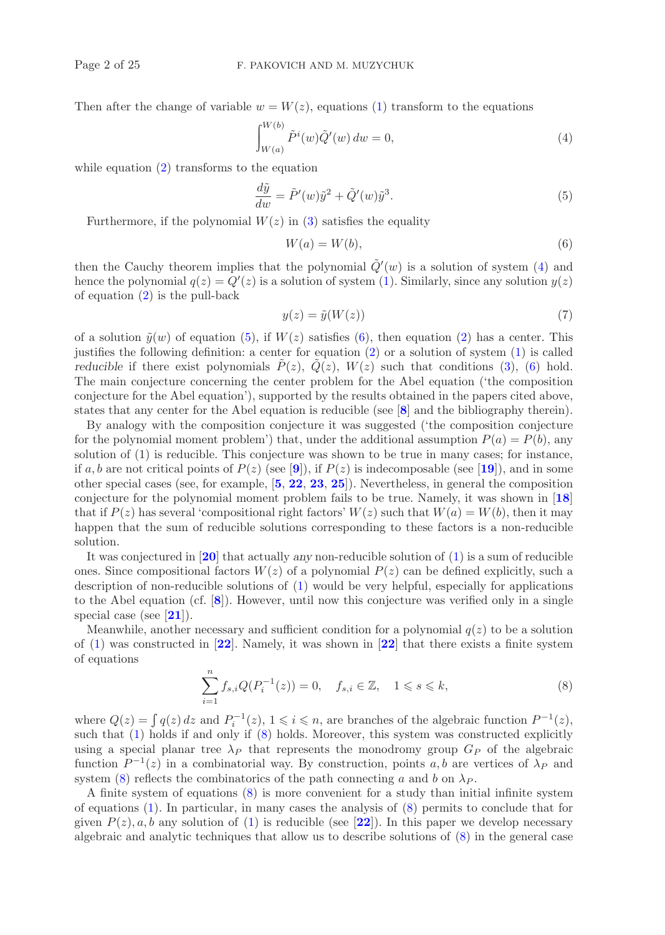Then after the change of variable  $w = W(z)$ , equations [\(1\)](#page-0-1) transform to the equations

<span id="page-1-0"></span>
$$
\int_{W(a)}^{W(b)} \tilde{P}^i(w) \tilde{Q}'(w) \, dw = 0,\tag{4}
$$

while equation  $(2)$  transforms to the equation

<span id="page-1-1"></span>
$$
\frac{d\tilde{y}}{dw} = \tilde{P}'(w)\tilde{y}^2 + \tilde{Q}'(w)\tilde{y}^3.
$$
\n(5)

Furthermore, if the polynomial  $W(z)$  in [\(3\)](#page-0-2) satisfies the equality

<span id="page-1-2"></span>
$$
W(a) = W(b),\tag{6}
$$

then the Cauchy theorem implies that the polynomial  $\tilde{Q}'(w)$  is a solution of system [\(4\)](#page-1-0) and hence the polynomial  $q(z) = Q'(z)$  is a solution of system [\(1\)](#page-0-1). Similarly, since any solution  $y(z)$ of equation  $(2)$  is the pull-back

$$
y(z) = \tilde{y}(W(z))\tag{7}
$$

of a solution  $\tilde{y}(w)$  of equation [\(5\)](#page-1-1), if  $W(z)$  satisfies [\(6\)](#page-1-2), then equation [\(2\)](#page-0-0) has a center. This justifies the following definition: a center for equation [\(2\)](#page-0-0) or a solution of system [\(1\)](#page-0-1) is called *reducible* if there exist polynomials  $P(z)$ ,  $Q(z)$ ,  $W(z)$  such that conditions [\(3\)](#page-0-2), [\(6\)](#page-1-2) hold. The main conjecture concerning the center problem for the Abel equation ('the composition conjecture for the Abel equation'), supported by the results obtained in the papers cited above, states that any center for the Abel equation is reducible (see [**[8](#page-23-5)**] and the bibliography therein).

By analogy with the composition conjecture it was suggested ('the composition conjecture for the polynomial moment problem') that, under the additional assumption  $P(a) = P(b)$ , any solution of (1) is reducible. This conjecture was shown to be true in many cases; for instance, if a, b are not critical points of  $P(z)$  (see [[9](#page-23-3)]), if  $P(z)$  is indecomposable (see [[19](#page-24-1)]), and in some other special cases (see, for example, [**[5](#page-23-4)**, **[22](#page-24-2)**, **[23](#page-24-3)**, **[25](#page-24-4)**]). Nevertheless, in general the composition conjecture for the polynomial moment problem fails to be true. Namely, it was shown in [**[18](#page-24-5)**] that if  $P(z)$  has several 'compositional right factors'  $W(z)$  such that  $W(a) = W(b)$ , then it may happen that the sum of reducible solutions corresponding to these factors is a non-reducible solution.

It was conjectured in [**[20](#page-24-6)**] that actually *any* non-reducible solution of [\(1\)](#page-0-1) is a sum of reducible ones. Since compositional factors  $W(z)$  of a polynomial  $P(z)$  can be defined explicitly, such a description of non-reducible solutions of [\(1\)](#page-0-1) would be very helpful, especially for applications to the Abel equation (cf. [**[8](#page-23-5)**]). However, until now this conjecture was verified only in a single special case (see [**[21](#page-24-7)**]).

Meanwhile, another necessary and sufficient condition for a polynomial  $q(z)$  to be a solution of [\(1\)](#page-0-1) was constructed in [**[22](#page-24-2)**]. Namely, it was shown in [**[22](#page-24-2)**] that there exists a finite system of equations

<span id="page-1-3"></span>
$$
\sum_{i=1}^{n} f_{s,i} Q(P_i^{-1}(z)) = 0, \quad f_{s,i} \in \mathbb{Z}, \quad 1 \leq s \leq k,
$$
\n(8)

where  $Q(z) = \int q(z) dz$  and  $P_i^{-1}(z)$ ,  $1 \leq i \leq n$ , are branches of the algebraic function  $P^{-1}(z)$ , such that [\(1\)](#page-0-1) holds if and only if [\(8\)](#page-1-3) holds. Moreover, this system was constructed explicitly using a special planar tree  $\lambda_P$  that represents the monodromy group  $G_P$  of the algebraic function  $P^{-1}(z)$  in a combinatorial way. By construction, points a, b are vertices of  $\lambda_P$  and system [\(8\)](#page-1-3) reflects the combinatorics of the path connecting a and b on  $\lambda_P$ .

A finite system of equations [\(8\)](#page-1-3) is more convenient for a study than initial infinite system of equations [\(1\)](#page-0-1). In particular, in many cases the analysis of [\(8\)](#page-1-3) permits to conclude that for given  $P(z)$ , a, b any solution of [\(1\)](#page-0-1) is reducible (see [[22](#page-24-2)]). In this paper we develop necessary algebraic and analytic techniques that allow us to describe solutions of [\(8\)](#page-1-3) in the general case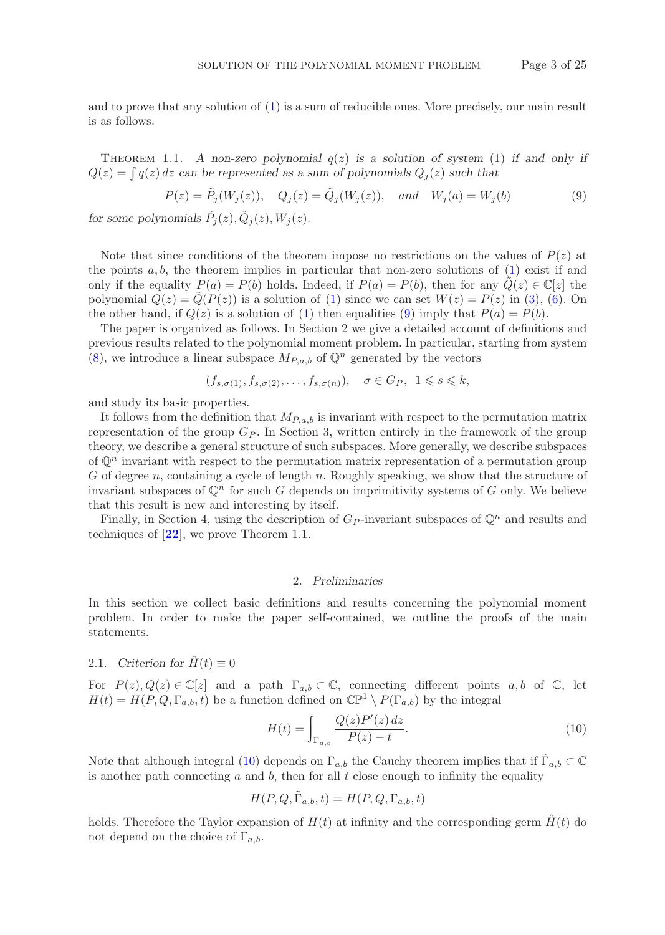and to prove that any solution of [\(1\)](#page-0-1) is a sum of reducible ones. More precisely, our main result is as follows.

THEOREM 1.1. *A non-zero polynomial*  $q(z)$  *is a solution of system* (1) *if and only if*  $Q(z) = \int q(z) dz$  can be represented as a sum of polynomials  $Q_j(z)$  such that

<span id="page-2-0"></span>
$$
P(z) = \tilde{P}_j(W_j(z)), \quad Q_j(z) = \tilde{Q}_j(W_j(z)), \quad and \quad W_j(a) = W_j(b)
$$
 (9)

*for some polynomials*  $\tilde{P}_j(z), \tilde{Q}_j(z), W_j(z)$ *.* 

Note that since conditions of the theorem impose no restrictions on the values of  $P(z)$  at the points  $a, b$ , the theorem implies in particular that non-zero solutions of  $(1)$  exist if and only if the equality  $P(a) = P(b)$  holds. Indeed, if  $P(a) = P(b)$ , then for any  $\hat{Q}(z) \in \mathbb{C}[z]$  the polynomial  $Q(z) = Q(P(z))$  is a solution of [\(1\)](#page-0-1) since we can set  $W(z) = P(z)$  in [\(3\)](#page-0-2), [\(6\)](#page-1-2). On the other hand, if  $Q(z)$  is a solution of [\(1\)](#page-0-1) then equalities [\(9\)](#page-2-0) imply that  $P(a) = P(b)$ .

The paper is organized as follows. In Section 2 we give a detailed account of definitions and previous results related to the polynomial moment problem. In particular, starting from system  $(8)$ , we introduce a linear subspace  $M_{P,a,b}$  of  $\mathbb{Q}^n$  generated by the vectors

$$
(f_{s,\sigma(1)}, f_{s,\sigma(2)}, \ldots, f_{s,\sigma(n)}), \quad \sigma \in G_P, \ 1 \leq s \leq k,
$$

and study its basic properties.

It follows from the definition that  $M_{P,a,b}$  is invariant with respect to the permutation matrix representation of the group  $G_P$ . In Section 3, written entirely in the framework of the group theory, we describe a general structure of such subspaces. More generally, we describe subspaces of  $\mathbb{Q}^n$  invariant with respect to the permutation matrix representation of a permutation group G of degree n, containing a cycle of length n. Roughly speaking, we show that the structure of invariant subspaces of  $\mathbb{Q}^n$  for such G depends on imprimitivity systems of G only. We believe that this result is new and interesting by itself.

Finally, in Section 4, using the description of  $G_P$ -invariant subspaces of  $\mathbb{Q}^n$  and results and techniques of [**[22](#page-24-2)**], we prove Theorem 1.1.

## 2. *Preliminaries*

In this section we collect basic definitions and results concerning the polynomial moment problem. In order to make the paper self-contained, we outline the proofs of the main statements.

## 2.1. *Criterion for*  $\hat{H}(t) \equiv 0$

For  $P(z), Q(z) \in \mathbb{C}[z]$  and a path  $\Gamma_{a,b} \subset \mathbb{C}$ , connecting different points  $a, b$  of  $\mathbb{C}$ , let  $H(t) = H(P, Q, \Gamma_{a,b}, t)$  be a function defined on  $\mathbb{CP}^1 \setminus P(\Gamma_{a,b})$  by the integral

<span id="page-2-1"></span>
$$
H(t) = \int_{\Gamma_{a,b}} \frac{Q(z)P'(z) \, dz}{P(z) - t}.
$$
\n(10)

Note that although integral [\(10\)](#page-2-1) depends on  $\Gamma_{a,b}$  the Cauchy theorem implies that if  $\Gamma_{a,b} \subset \mathbb{C}$ is another path connecting  $a$  and  $b$ , then for all  $t$  close enough to infinity the equality

$$
H(P, Q, \tilde{\Gamma}_{a,b}, t) = H(P, Q, \Gamma_{a,b}, t)
$$

holds. Therefore the Taylor expansion of  $H(t)$  at infinity and the corresponding germ  $\hat{H}(t)$  do not depend on the choice of  $\Gamma_{a,b}$ .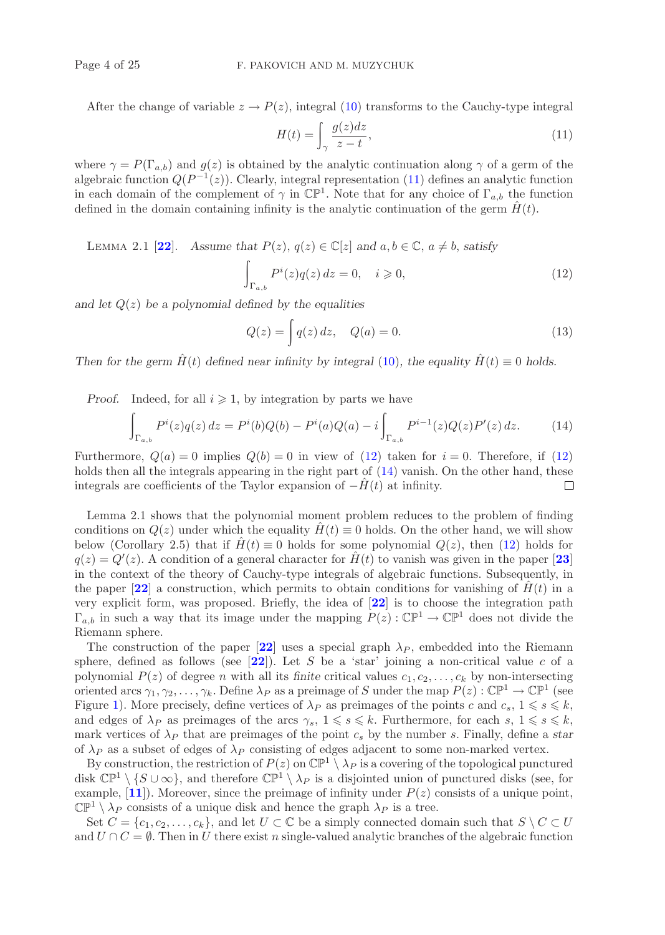After the change of variable  $z \to P(z)$ , integral [\(10\)](#page-2-1) transforms to the Cauchy-type integral

<span id="page-3-0"></span>
$$
H(t) = \int_{\gamma} \frac{g(z)dz}{z - t},\tag{11}
$$

where  $\gamma = P(\Gamma_{a,b})$  and  $g(z)$  is obtained by the analytic continuation along  $\gamma$  of a germ of the algebraic function  $Q(P^{-1}(z))$ . Clearly, integral representation [\(11\)](#page-3-0) defines an analytic function in each domain of the complement of  $\gamma$  in  $\mathbb{CP}^1$ . Note that for any choice of  $\Gamma_{a,b}$  the function defined in the domain containing infinity is the analytic continuation of the germ  $\hat{H}(t)$ .

LEMMA 2.1 [[22](#page-24-2)]. Assume that  $P(z)$ ,  $q(z) \in \mathbb{C}[z]$  and  $a, b \in \mathbb{C}$ ,  $a \neq b$ , satisfy

<span id="page-3-1"></span>
$$
\int_{\Gamma_{a,b}} P^i(z)q(z) dz = 0, \quad i \geqslant 0,
$$
\n(12)

*and let* Q(z) *be a polynomial defined by the equalities*

$$
Q(z) = \int q(z) dz, \quad Q(a) = 0.
$$
\n(13)

*Then for the germ*  $\hat{H}(t)$  *defined near infinity by integral* [\(10\)](#page-2-1)*, the equality*  $\hat{H}(t) \equiv 0$  *holds.* 

*Proof.* Indeed, for all  $i \geqslant 1$ , by integration by parts we have

<span id="page-3-2"></span>
$$
\int_{\Gamma_{a,b}} P^i(z)q(z) dz = P^i(b)Q(b) - P^i(a)Q(a) - i \int_{\Gamma_{a,b}} P^{i-1}(z)Q(z)P'(z) dz.
$$
 (14)

Furthermore,  $Q(a) = 0$  implies  $Q(b) = 0$  in view of [\(12\)](#page-3-1) taken for  $i = 0$ . Therefore, if (12) holds then all the integrals appearing in the right part of  $(14)$  vanish. On the other hand, these integrals are coefficients of the Taylor expansion of  $-H(t)$  at infinity.

Lemma 2.1 shows that the polynomial moment problem reduces to the problem of finding conditions on  $Q(z)$  under which the equality  $H(t) \equiv 0$  holds. On the other hand, we will show below (Corollary 2.5) that if  $H(t) \equiv 0$  holds for some polynomial  $Q(z)$ , then [\(12\)](#page-3-1) holds for  $q(z) = Q'(z)$ . A condition of a general character for  $\hat{H}(t)$  to vanish was given in the paper [[23](#page-24-3)] in the context of the theory of Cauchy-type integrals of algebraic functions. Subsequently, in the paper  $[22]$  $[22]$  $[22]$  a construction, which permits to obtain conditions for vanishing of  $H(t)$  in a very explicit form, was proposed. Briefly, the idea of [**[22](#page-24-2)**] is to choose the integration path  $\Gamma_{a,b}$  in such a way that its image under the mapping  $P(z): \mathbb{CP}^1 \to \mathbb{CP}^1$  does not divide the Riemann sphere.

The construction of the paper  $[22]$  $[22]$  $[22]$  uses a special graph  $\lambda_P$ , embedded into the Riemann sphere, defined as follows (see  $[22]$  $[22]$  $[22]$ ). Let S be a 'star' joining a non-critical value c of a polynomial  $P(z)$  of degree n with all its *finite* critical values  $c_1, c_2, \ldots, c_k$  by non-intersecting oriented arcs  $\gamma_1, \gamma_2, \ldots, \gamma_k$ . Define  $\lambda_P$  as a preimage of S under the map  $P(z)$ :  $\mathbb{CP}^1 \to \mathbb{CP}^1$  (see Figure [1\)](#page-4-0). More precisely, define vertices of  $\lambda_P$  as preimages of the points c and  $c_s$ ,  $1 \leq s \leq k$ , and edges of  $\lambda_P$  as preimages of the arcs  $\gamma_s$ ,  $1 \leq s \leq k$ . Furthermore, for each s,  $1 \leq s \leq k$ , mark vertices of  $\lambda_P$  that are preimages of the point  $c_s$  by the number s. Finally, define a *star* of  $\lambda_P$  as a subset of edges of  $\lambda_P$  consisting of edges adjacent to some non-marked vertex.

By construction, the restriction of  $P(z)$  on  $\mathbb{CP}^1 \setminus \lambda_P$  is a covering of the topological punctured disk  $\mathbb{CP}^1 \setminus \{S \cup \infty\}$ , and therefore  $\mathbb{CP}^1 \setminus \lambda_P$  is a disjointed union of punctured disks (see, for example,  $[11]$  $[11]$  $[11]$ ). Moreover, since the preimage of infinity under  $P(z)$  consists of a unique point,  $\mathbb{CP}^1 \setminus \lambda_P$  consists of a unique disk and hence the graph  $\lambda_P$  is a tree.

Set  $C = \{c_1, c_2, \ldots, c_k\}$ , and let  $U \subset \mathbb{C}$  be a simply connected domain such that  $S \setminus C \subset U$ and  $U \cap C = \emptyset$ . Then in U there exist n single-valued analytic branches of the algebraic function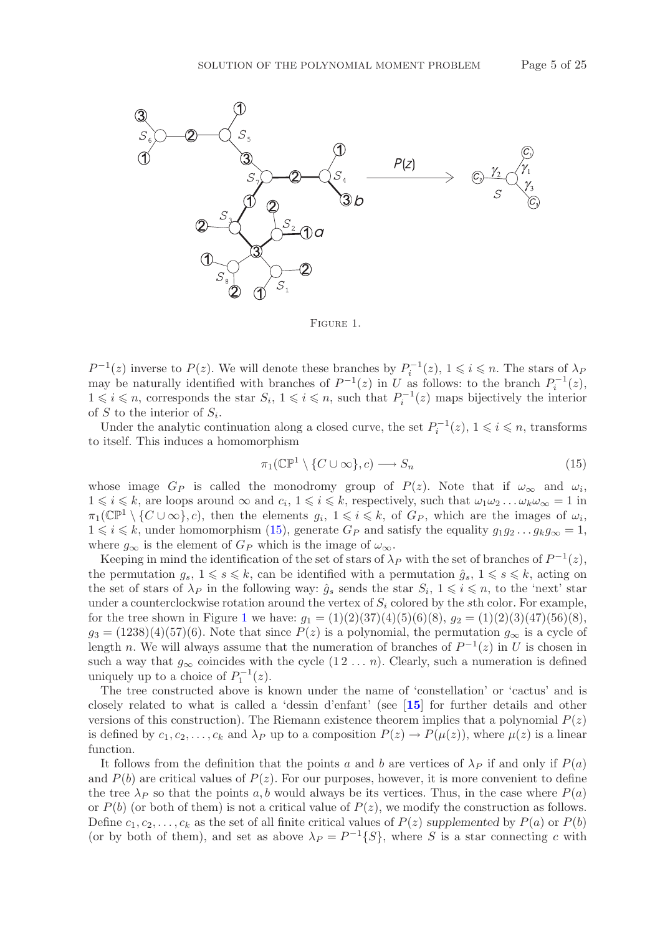

<span id="page-4-0"></span>Figure 1.

 $P^{-1}(z)$  inverse to  $P(z)$ . We will denote these branches by  $P_i^{-1}(z)$ ,  $1 \leq i \leq n$ . The stars of  $\lambda_P$ may be naturally identified with branches of  $P^{-1}(z)$  in U as follows: to the branch  $P_i^{-1}(z)$ ,  $1 \leq i \leq n$ , corresponds the star  $S_i$ ,  $1 \leq i \leq n$ , such that  $P_i^{-1}(z)$  maps bijectively the interior of S to the interior of  $S_i$ .

Under the analytic continuation along a closed curve, the set  $P_i^{-1}(z)$ ,  $1 \leq i \leq n$ , transforms to itself. This induces a homomorphism

<span id="page-4-1"></span>
$$
\pi_1(\mathbb{CP}^1 \setminus \{C \cup \infty\}, c) \longrightarrow S_n \tag{15}
$$

whose image  $G_P$  is called the monodromy group of  $P(z)$ . Note that if  $\omega_{\infty}$  and  $\omega_i$ ,  $1 \leq i \leq k$ , are loops around  $\infty$  and  $c_i$ ,  $1 \leq i \leq k$ , respectively, such that  $\omega_1 \omega_2 \dots \omega_k \omega_{\infty} = 1$  in  $\pi_1(\mathbb{CP}^1\setminus\{C\cup\infty\},c)$ , then the elements  $g_i, 1\leqslant i\leqslant k$ , of  $G_P$ , which are the images of  $\omega_i$ ,  $1 \leq i \leq k$ , under homomorphism [\(15\)](#page-4-1), generate  $G_P$  and satisfy the equality  $g_1g_2 \ldots g_kg_\infty = 1$ , where  $g_{\infty}$  is the element of  $G_P$  which is the image of  $\omega_{\infty}$ .

Keeping in mind the identification of the set of stars of  $\lambda_P$  with the set of branches of  $P^{-1}(z)$ , the permutation  $g_s$ ,  $1 \leq s \leq k$ , can be identified with a permutation  $\hat{g}_s$ ,  $1 \leq s \leq k$ , acting on the set of stars of  $\lambda_P$  in the following way:  $\hat{g}_s$  sends the star  $S_i$ ,  $1 \leq i \leq n$ , to the 'next' star under a counterclockwise rotation around the vertex of  $S_i$  colored by the sth color. For example, for the tree shown in Figure [1](#page-4-0) we have:  $g_1 = (1)(2)(37)(4)(5)(6)(8)$ ,  $g_2 = (1)(2)(3)(47)(56)(8)$ ,  $g_3 = (1238)(4)(57)(6)$ . Note that since  $P(z)$  is a polynomial, the permutation  $g_{\infty}$  is a cycle of length n. We will always assume that the numeration of branches of  $P^{-1}(z)$  in U is chosen in such a way that  $g_{\infty}$  coincides with the cycle  $(1 2 ... n)$ . Clearly, such a numeration is defined uniquely up to a choice of  $P_1^{-1}(z)$ .

The tree constructed above is known under the name of 'constellation' or 'cactus' and is closely related to what is called a 'dessin d'enfant' (see [**[15](#page-23-7)**] for further details and other versions of this construction). The Riemann existence theorem implies that a polynomial  $P(z)$ is defined by  $c_1, c_2, \ldots, c_k$  and  $\lambda_P$  up to a composition  $P(z) \to P(\mu(z))$ , where  $\mu(z)$  is a linear function.

It follows from the definition that the points a and b are vertices of  $\lambda_P$  if and only if  $P(a)$ and  $P(b)$  are critical values of  $P(z)$ . For our purposes, however, it is more convenient to define the tree  $\lambda_P$  so that the points a, b would always be its vertices. Thus, in the case where  $P(a)$ or  $P(b)$  (or both of them) is not a critical value of  $P(z)$ , we modify the construction as follows. Define  $c_1, c_2, \ldots, c_k$  as the set of all finite critical values of  $P(z)$  supplemented by  $P(a)$  or  $P(b)$ (or by both of them), and set as above  $\lambda_P = P^{-1}{S}$ , where S is a star connecting c with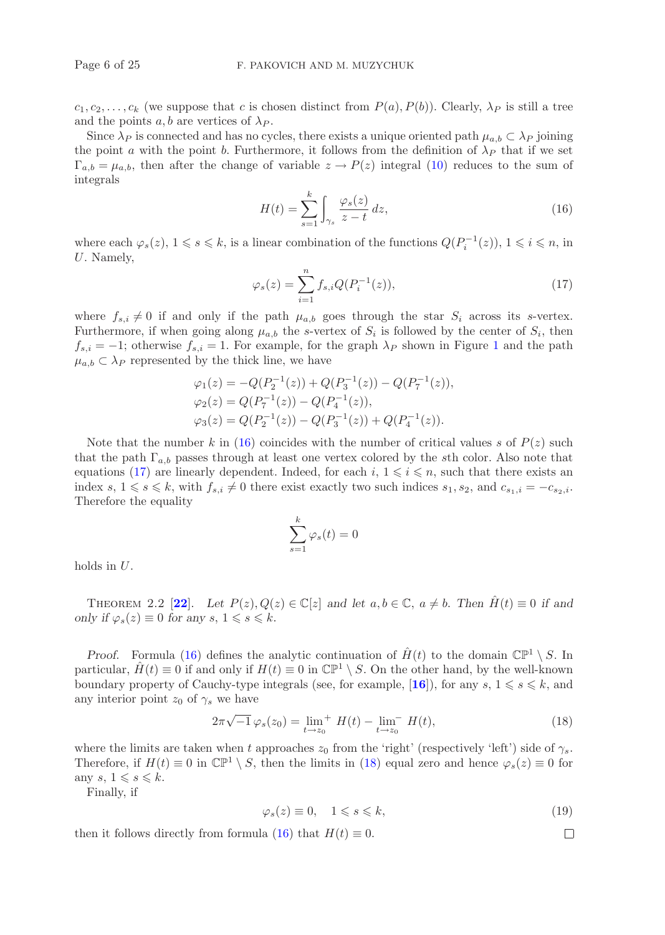$c_1, c_2, \ldots, c_k$  (we suppose that c is chosen distinct from  $P(a), P(b)$ ). Clearly,  $\lambda_P$  is still a tree and the points  $a, b$  are vertices of  $\lambda_P$ .

Since  $\lambda_P$  is connected and has no cycles, there exists a unique oriented path  $\mu_{a,b} \subset \lambda_P$  joining the point a with the point b. Furthermore, it follows from the definition of  $\lambda_P$  that if we set  $\Gamma_{a,b} = \mu_{a,b}$ , then after the change of variable  $z \to P(z)$  integral [\(10\)](#page-2-1) reduces to the sum of integrals

<span id="page-5-0"></span>
$$
H(t) = \sum_{s=1}^{k} \int_{\gamma_s} \frac{\varphi_s(z)}{z - t} dz,
$$
\n(16)

where each  $\varphi_s(z)$ ,  $1 \leqslant s \leqslant k$ , is a linear combination of the functions  $Q(P_i^{-1}(z))$ ,  $1 \leqslant i \leqslant n$ , in U. Namely,

<span id="page-5-1"></span>
$$
\varphi_s(z) = \sum_{i=1}^n f_{s,i} Q(P_i^{-1}(z)), \qquad (17)
$$

where  $f_{s,i} \neq 0$  if and only if the path  $\mu_{a,b}$  goes through the star  $S_i$  across its s-vertex. Furthermore, if when going along  $\mu_{a,b}$  the s-vertex of  $S_i$  is followed by the center of  $S_i$ , then  $f_{s,i} = -1$  $f_{s,i} = -1$ ; otherwise  $f_{s,i} = 1$ . For example, for the graph  $\lambda_P$  shown in Figure 1 and the path  $\mu_{a,b} \subset \lambda_P$  represented by the thick line, we have

$$
\varphi_1(z) = -Q(P_2^{-1}(z)) + Q(P_3^{-1}(z)) - Q(P_7^{-1}(z)),
$$
  
\n
$$
\varphi_2(z) = Q(P_7^{-1}(z)) - Q(P_4^{-1}(z)),
$$
  
\n
$$
\varphi_3(z) = Q(P_2^{-1}(z)) - Q(P_3^{-1}(z)) + Q(P_4^{-1}(z)).
$$

Note that the number k in [\(16\)](#page-5-0) coincides with the number of critical values s of  $P(z)$  such that the path  $\Gamma_{a,b}$  passes through at least one vertex colored by the sth color. Also note that equations [\(17\)](#page-5-1) are linearly dependent. Indeed, for each  $i, 1 \leq i \leq n$ , such that there exists an index s,  $1 \le s \le k$ , with  $f_{s,i} \neq 0$  there exist exactly two such indices  $s_1, s_2$ , and  $c_{s_1,i} = -c_{s_2,i}$ . Therefore the equality

$$
\sum_{s=1}^{k} \varphi_s(t) = 0
$$

holds in U.

THEOREM 2.2 [[22](#page-24-2)]. Let  $P(z), Q(z) \in \mathbb{C}[z]$  and let  $a, b \in \mathbb{C}$ ,  $a \neq b$ . Then  $H(t) \equiv 0$  if and *only if*  $\varphi_s(z) \equiv 0$  *for any*  $s, 1 \leq s \leq k$ .

*Proof.* Formula [\(16\)](#page-5-0) defines the analytic continuation of  $\hat{H}(t)$  to the domain  $\mathbb{CP}^1 \setminus S$ . In particular,  $\hat{H}(t) \equiv 0$  if and only if  $H(t) \equiv 0$  in  $\mathbb{CP}^1 \setminus S$ . On the other hand, by the well-known boundary property of Cauchy-type integrals (see, for example, [**[16](#page-23-8)**]), for any s,  $1 \leq s \leq k$ , and any interior point  $z_0$  of  $\gamma_s$  we have

<span id="page-5-2"></span>
$$
2\pi\sqrt{-1}\,\varphi_s(z_0) = \lim_{t \to z_0}^{+} H(t) - \lim_{t \to z_0}^{+} H(t), \tag{18}
$$

where the limits are taken when t approaches  $z_0$  from the 'right' (respectively 'left') side of  $\gamma_s$ . Therefore, if  $H(t) \equiv 0$  in  $\mathbb{CP}^1 \setminus S$ , then the limits in [\(18\)](#page-5-2) equal zero and hence  $\varphi_s(z) \equiv 0$  for any  $s, 1 \leqslant s \leqslant k$ .

Finally, if

<span id="page-5-3"></span>
$$
\varphi_s(z) \equiv 0, \quad 1 \leqslant s \leqslant k,\tag{19}
$$

 $\Box$ 

then it follows directly from formula [\(16\)](#page-5-0) that  $H(t) \equiv 0$ .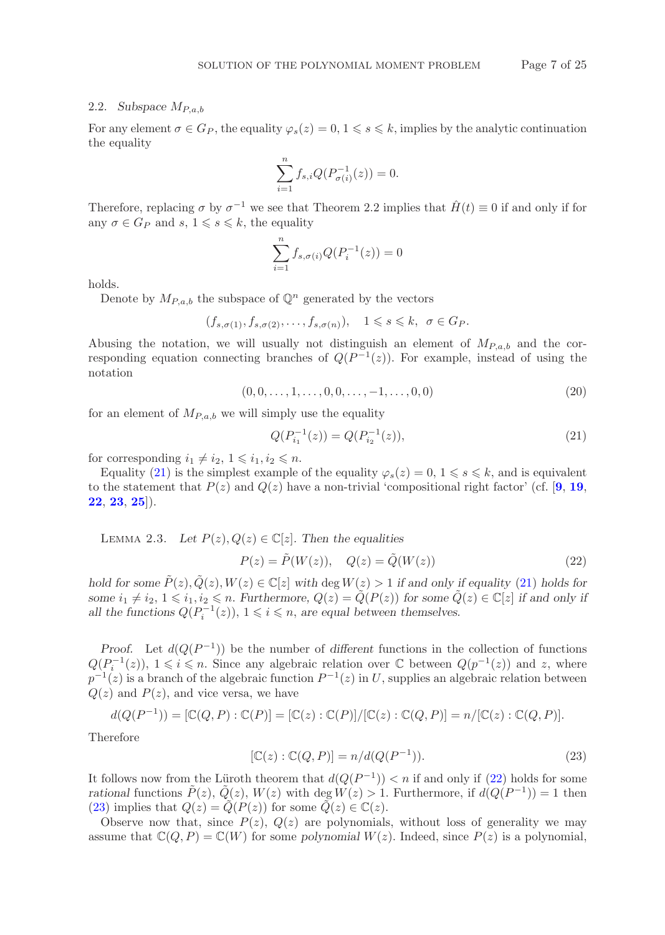## 2.2. *Subspace*  $M_{P,a,b}$

For any element  $\sigma \in G_P$ , the equality  $\varphi_s(z)=0, 1 \leq s \leq k$ , implies by the analytic continuation the equality

$$
\sum_{i=1}^{n} f_{s,i} Q(P_{\sigma(i)}^{-1}(z)) = 0.
$$

Therefore, replacing  $\sigma$  by  $\sigma^{-1}$  we see that Theorem 2.2 implies that  $\hat{H}(t) \equiv 0$  if and only if for any  $\sigma \in G_P$  and  $s, 1 \leq s \leq k$ , the equality

$$
\sum_{i=1}^{n} f_{s,\sigma(i)} Q(P_i^{-1}(z)) = 0
$$

holds.

Denote by  $M_{P,a,b}$  the subspace of  $\mathbb{Q}^n$  generated by the vectors

$$
(f_{s,\sigma(1)}, f_{s,\sigma(2)}, \ldots, f_{s,\sigma(n)}), \quad 1 \leq s \leq k, \ \sigma \in G_P.
$$

Abusing the notation, we will usually not distinguish an element of  $M_{P,a,b}$  and the corresponding equation connecting branches of  $Q(P^{-1}(z))$ . For example, instead of using the notation

<span id="page-6-3"></span>
$$
(0,0,\ldots,1,\ldots,0,0,\ldots,-1,\ldots,0,0) \tag{20}
$$

for an element of  $M_{P,a,b}$  we will simply use the equality

<span id="page-6-0"></span>
$$
Q(P_{i_1}^{-1}(z)) = Q(P_{i_2}^{-1}(z)),
$$
\n(21)

for corresponding  $i_1 \neq i_2, 1 \leq i_1, i_2 \leq n$ .

Equality [\(21\)](#page-6-0) is the simplest example of the equality  $\varphi_s(z)=0, 1 \leq s \leq k$ , and is equivalent to the statement that  $P(z)$  and  $Q(z)$  have a non-trivial 'compositional right factor' (cf. [[9](#page-23-3), [19](#page-24-1), **[22](#page-24-2)**, **[23](#page-24-3)**, **[25](#page-24-4)**]).

LEMMA 2.3. Let 
$$
P(z), Q(z) \in \mathbb{C}[z]
$$
. Then the equalities

<span id="page-6-1"></span>
$$
P(z) = \tilde{P}(W(z)), \quad Q(z) = \tilde{Q}(W(z))
$$
\n<sup>(22)</sup>

*hold for some*  $\tilde{P}(z), \tilde{Q}(z), W(z) \in \mathbb{C}[z]$  *with* deg  $W(z) > 1$  *if and only if equality* [\(21\)](#page-6-0) *holds for some*  $i_1 \neq i_2$ ,  $1 \leq i_1, i_2 \leq n$ . *Furthermore,*  $Q(z) = \widetilde{Q}(P(z))$  *for some*  $\widetilde{Q}(z) \in \mathbb{C}[z]$  *if and only if all the functions*  $Q(P_i^{-1}(z))$ ,  $1 \leq i \leq n$ , *are equal between themselves.* 

*Proof.* Let  $d(Q(P^{-1}))$  be the number of different functions in the collection of functions  $Q(P_i^{-1}(z)), 1 \leq i \leq n$ . Since any algebraic relation over  $\mathbb C$  between  $Q(p^{-1}(z))$  and z, where  $p^{-1}(z)$  is a branch of the algebraic function  $P^{-1}(z)$  in U, supplies an algebraic relation between  $Q(z)$  and  $P(z)$ , and vice versa, we have

$$
d(Q(P^{-1})) = [\mathbb{C}(Q,P) : \mathbb{C}(P)] = [\mathbb{C}(z) : \mathbb{C}(P)] / [\mathbb{C}(z) : \mathbb{C}(Q,P)] = n / [\mathbb{C}(z) : \mathbb{C}(Q,P)].
$$

Therefore

<span id="page-6-2"></span>
$$
[\mathbb{C}(z) : \mathbb{C}(Q, P)] = n/d(Q(P^{-1})).
$$
\n
$$
(23)
$$

It follows now from the Lüroth theorem that  $d(Q(P^{-1})) < n$  if and only if [\(22\)](#page-6-1) holds for some *rational* functions  $\hat{P}(z)$ ,  $\hat{Q}(z)$ ,  $W(z)$  with deg  $W(z) > 1$ . Furthermore, if  $d(Q(P^{-1})) = 1$  then [\(23\)](#page-6-2) implies that  $Q(z) = Q(P(z))$  for some  $Q(z) \in \mathbb{C}(z)$ .

Observe now that, since  $P(z)$ ,  $Q(z)$  are polynomials, without loss of generality we may assume that  $\mathbb{C}(Q, P) = \mathbb{C}(W)$  for some *polynomial*  $W(z)$ . Indeed, since  $P(z)$  is a polynomial,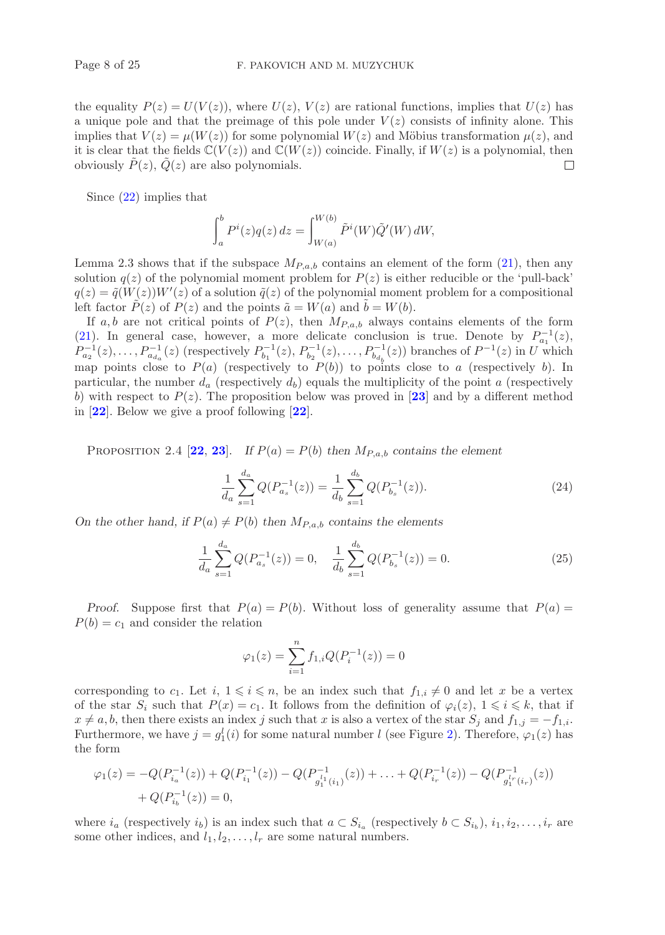the equality  $P(z) = U(V(z))$ , where  $U(z)$ ,  $V(z)$  are rational functions, implies that  $U(z)$  has a unique pole and that the preimage of this pole under  $V(z)$  consists of infinity alone. This implies that  $V(z) = \mu(W(z))$  for some polynomial  $W(z)$  and Möbius transformation  $\mu(z)$ , and it is clear that the fields  $\mathbb{C}(V(z))$  and  $\mathbb{C}(W(z))$  coincide. Finally, if  $W(z)$  is a polynomial, then obviously  $P(z)$ ,  $Q(z)$  are also polynomials.  $\Box$ 

Since [\(22\)](#page-6-1) implies that

$$
\int_a^b P^i(z)q(z)\,dz = \int_{W(a)}^{W(b)} \tilde{P}^i(W) \tilde{Q}'(W)\,dW,
$$

Lemma 2.3 shows that if the subspace  $M_{P,a,b}$  contains an element of the form [\(21\)](#page-6-0), then any solution  $q(z)$  of the polynomial moment problem for  $P(z)$  is either reducible or the 'pull-back'  $q(z) = \tilde{q}(W(z))W'(z)$  of a solution  $\tilde{q}(z)$  of the polynomial moment problem for a compositional left factor  $P(z)$  of  $P(z)$  and the points  $\tilde{a} = W(a)$  and  $b = W(b)$ .

If a, b are not critical points of  $P(z)$ , then  $M_{P,a,b}$  always contains elements of the form [\(21\)](#page-6-0). In general case, however, a more delicate conclusion is true. Denote by  $P_{a_1}^{-1}(z)$ ,  $P_{a_2}^{-1}(z),...,P_{a_{d_a}}^{-1}(z)$  (respectively  $P_{b_1}^{-1}(z),P_{b_2}^{-1}(z),...,P_{b_{d_b}}^{-1}(z)$ ) branches of  $P^{-1}(z)$  in U which map points close to  $P(a)$  (respectively to  $P(b)$ ) to points close to a (respectively b). In particular, the number  $d_a$  (respectively  $d_b$ ) equals the multiplicity of the point a (respectively b) with respect to  $P(z)$ . The proposition below was proved in [[23](#page-24-3)] and by a different method in [**[22](#page-24-2)**]. Below we give a proof following [**[22](#page-24-2)**].

PROPOSITION 2.4  $[22, 23]$  $[22, 23]$  $[22, 23]$  $[22, 23]$  $[22, 23]$ . If  $P(a) = P(b)$  then  $M_{P,a,b}$  contains the element

<span id="page-7-0"></span>
$$
\frac{1}{d_a} \sum_{s=1}^{d_a} Q(P_{a_s}^{-1}(z)) = \frac{1}{d_b} \sum_{s=1}^{d_b} Q(P_{b_s}^{-1}(z)).
$$
\n(24)

*On the other hand, if*  $P(a) \neq P(b)$  *then*  $M_{P,a,b}$  *contains the elements* 

<span id="page-7-1"></span>
$$
\frac{1}{d_a} \sum_{s=1}^{d_a} Q(P_{a_s}^{-1}(z)) = 0, \quad \frac{1}{d_b} \sum_{s=1}^{d_b} Q(P_{b_s}^{-1}(z)) = 0.
$$
\n(25)

*Proof.* Suppose first that  $P(a) = P(b)$ . Without loss of generality assume that  $P(a) =$  $P(b) = c_1$  and consider the relation

$$
\varphi_1(z) = \sum_{i=1}^n f_{1,i} Q(P_i^{-1}(z)) = 0
$$

corresponding to  $c_1$ . Let  $i, 1 \leq i \leq n$ , be an index such that  $f_{1,i} \neq 0$  and let x be a vertex of the star  $S_i$  such that  $P(x) = c_1$ . It follows from the definition of  $\varphi_i(z)$ ,  $1 \leq i \leq k$ , that if  $x \neq a, b$ , then there exists an index j such that x is also a vertex of the star  $S_i$  and  $f_{1,i} = -f_{1,i}$ . Furthermore, we have  $j = g_1^l(i)$  for some natural number l (see Figure [2\)](#page-8-0). Therefore,  $\varphi_1(z)$  has the form

$$
\varphi_1(z) = -Q(P_{i_a}^{-1}(z)) + Q(P_{i_1}^{-1}(z)) - Q(P_{g_1^{l_1}(i_1)}^{-1}(z)) + \dots + Q(P_{i_r}^{-1}(z)) - Q(P_{g_1^{l_r}(i_r)}^{-1}(z)) + Q(P_{i_b}^{-1}(z)) = 0,
$$

where  $i_a$  (respectively  $i_b$ ) is an index such that  $a \,\subset S_{i_a}$  (respectively  $b \subset S_{i_b}$ ),  $i_1, i_2, \ldots, i_r$  are some other indices, and  $l_1, l_2, \ldots, l_r$  are some natural numbers.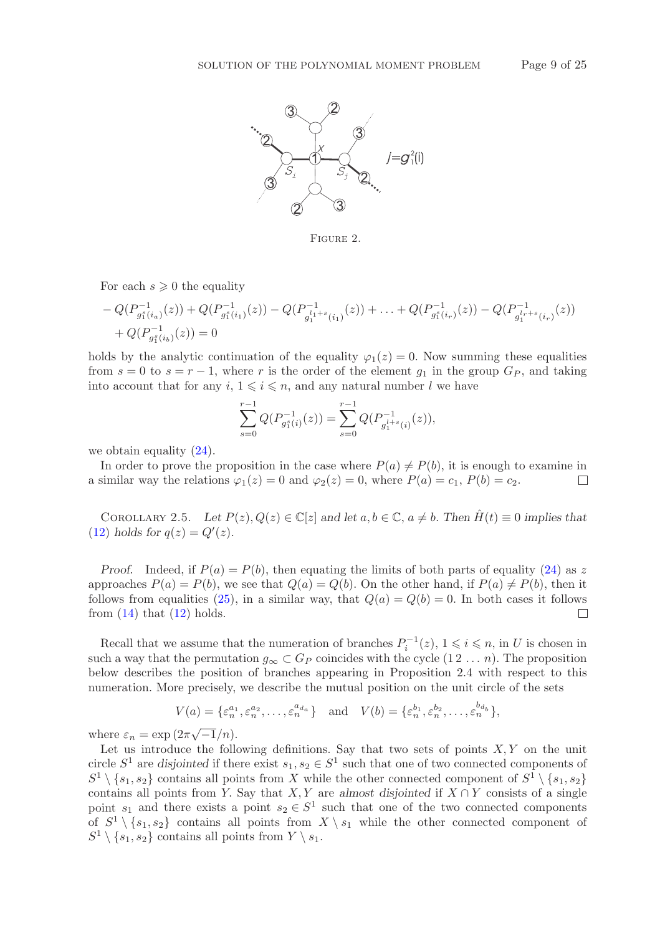

<span id="page-8-0"></span>Figure 2.

For each  $s \geqslant 0$  the equality

$$
-Q(P_{g_1^s(i_0)}^{-1}(z)) + Q(P_{g_1^s(i_1)}^{-1}(z)) - Q(P_{g_1^{l_1+s}(i_1)}^{-1}(z)) + \ldots + Q(P_{g_1^s(i_r)}^{-1}(z)) - Q(P_{g_1^{l_r+s}(i_r)}^{-1}(z)) + Q(P_{g_1^s(i_0)}^{-1}(z)) = 0
$$

holds by the analytic continuation of the equality  $\varphi_1(z)=0$ . Now summing these equalities from  $s = 0$  to  $s = r - 1$ , where r is the order of the element  $g_1$  in the group  $G_P$ , and taking into account that for any  $i, 1 \leq i \leq n$ , and any natural number l we have

$$
\sum_{s=0}^{r-1} Q(P_{g_1^s(i)}^{-1}(z)) = \sum_{s=0}^{r-1} Q(P_{g_1^{l+s}(i)}^{-1}(z)),
$$

we obtain equality  $(24)$ .

In order to prove the proposition in the case where  $P(a) \neq P(b)$ , it is enough to examine in a similar way the relations  $\varphi_1(z) = 0$  and  $\varphi_2(z) = 0$ , where  $P(a) = c_1$ ,  $P(b) = c_2$ .  $\Box$ 

COROLLARY 2.5. Let  $P(z)$ ,  $Q(z) \in \mathbb{C}[z]$  and let  $a, b \in \mathbb{C}$ ,  $a \neq b$ . Then  $\hat{H}(t) \equiv 0$  implies that  $(12)$  *holds for*  $q(z) = Q'(z)$ .

*Proof.* Indeed, if  $P(a) = P(b)$ , then equating the limits of both parts of equality [\(24\)](#page-7-0) as z approaches  $P(a) = P(b)$ , we see that  $Q(a) = Q(b)$ . On the other hand, if  $P(a) \neq P(b)$ , then it follows from equalities [\(25\)](#page-7-1), in a similar way, that  $Q(a) = Q(b) = 0$ . In both cases it follows from  $(14)$  that  $(12)$  holds.  $\Box$ 

Recall that we assume that the numeration of branches  $P_i^{-1}(z)$ ,  $1 \leqslant i \leqslant n$ , in U is chosen in such a way that the permutation  $g_{\infty} \subset G_P$  coincides with the cycle  $(1 2 ... n)$ . The proposition below describes the position of branches appearing in Proposition 2.4 with respect to this numeration. More precisely, we describe the mutual position on the unit circle of the sets

$$
V(a) = \{\varepsilon_n^{a_1}, \varepsilon_n^{a_2}, \dots, \varepsilon_n^{a_{d_a}}\} \quad \text{and} \quad V(b) = \{\varepsilon_n^{b_1}, \varepsilon_n^{b_2}, \dots, \varepsilon_n^{b_{d_b}}\},
$$

where  $\varepsilon_n = \exp(2\pi\sqrt{-1}/n)$ .

Let us introduce the following definitions. Say that two sets of points  $X, Y$  on the unit circle  $S^1$  are *disjointed* if there exist  $s_1, s_2 \in S^1$  such that one of two connected components of  $S^1 \setminus \{s_1, s_2\}$  contains all points from X while the other connected component of  $S^1 \setminus \{s_1, s_2\}$ contains all points from Y. Say that  $X, Y$  are almost disjointed if  $X \cap Y$  consists of a single point  $s_1$  and there exists a point  $s_2 \in S^1$  such that one of the two connected components of  $S^1 \setminus \{s_1, s_2\}$  contains all points from  $X \setminus s_1$  while the other connected component of  $S^1 \setminus \{s_1, s_2\}$  contains all points from  $Y \setminus s_1$ .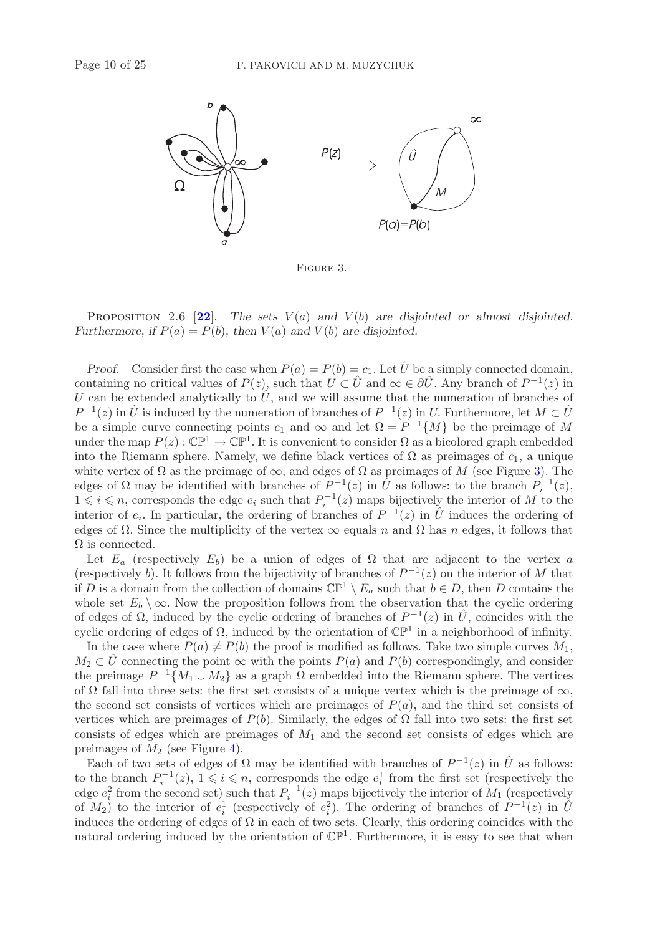

<span id="page-9-0"></span>Figure 3.

PROPOSITION 2.6  $[22]$  $[22]$  $[22]$ . The sets  $V(a)$  and  $V(b)$  are disjointed or almost disjointed. *Furthermore, if*  $P(a) = P(b)$ *, then*  $V(a)$  *and*  $V(b)$  *are disjointed.* 

*Proof.* Consider first the case when  $P(a) = P(b) = c_1$ . Let  $\hat{U}$  be a simply connected domain, containing no critical values of  $P(z)$ , such that  $U \subset \hat{U}$  and  $\infty \in \partial \hat{U}$ . Any branch of  $P^{-1}(z)$  in U can be extended analytically to  $\hat{U}$ , and we will assume that the numeration of branches of  $P^{-1}(z)$  in  $\hat{U}$  is induced by the numeration of branches of  $P^{-1}(z)$  in U. Furthermore, let  $M \subset \hat{U}$ be a simple curve connecting points  $c_1$  and  $\infty$  and let  $\Omega = P^{-1}{M}$  be the preimage of M under the map  $P(z): \mathbb{CP}^1 \to \mathbb{CP}^1$ . It is convenient to consider  $\Omega$  as a bicolored graph embedded into the Riemann sphere. Namely, we define black vertices of  $\Omega$  as preimages of  $c_1$ , a unique white vertex of  $\Omega$  as the preimage of  $\infty$ , and edges of  $\Omega$  as preimages of M (see Figure [3\)](#page-9-0). The edges of  $\Omega$  may be identified with branches of  $P^{-1}(z)$  in  $\hat{U}$  as follows: to the branch  $P_i^{-1}(z)$ ,  $1 \leq i \leq n$ , corresponds the edge  $e_i$  such that  $P_i^{-1}(z)$  maps bijectively the interior of M to the interior of  $e_i$ . In particular, the ordering of branches of  $P^{-1}(z)$  in  $\hat{U}$  induces the ordering of edges of  $\Omega$ . Since the multiplicity of the vertex  $\infty$  equals n and  $\Omega$  has n edges, it follows that  $\Omega$  is connected.

Let  $E_a$  (respectively  $E_b$ ) be a union of edges of  $\Omega$  that are adjacent to the vertex a (respectively b). It follows from the bijectivity of branches of  $P^{-1}(z)$  on the interior of M that if D is a domain from the collection of domains  $\mathbb{CP}^1 \setminus E_a$  such that  $b \in D$ , then D contains the whole set  $E_b \setminus \infty$ . Now the proposition follows from the observation that the cyclic ordering of edges of  $\Omega$ , induced by the cyclic ordering of branches of  $P^{-1}(z)$  in  $\hat{U}$ , coincides with the cyclic ordering of edges of  $\Omega$ , induced by the orientation of  $\mathbb{CP}^1$  in a neighborhood of infinity.

In the case where  $P(a) \neq P(b)$  the proof is modified as follows. Take two simple curves  $M_1$ ,  $M_2 \subset U$  connecting the point  $\infty$  with the points  $P(a)$  and  $P(b)$  correspondingly, and consider the preimage  $P^{-1}{M_1 \cup M_2}$  as a graph  $\Omega$  embedded into the Riemann sphere. The vertices of  $\Omega$  fall into three sets: the first set consists of a unique vertex which is the preimage of  $\infty$ , the second set consists of vertices which are preimages of  $P(a)$ , and the third set consists of vertices which are preimages of  $P(b)$ . Similarly, the edges of  $\Omega$  fall into two sets: the first set consists of edges which are preimages of  $M_1$  and the second set consists of edges which are preimages of  $M_2$  (see Figure [4\)](#page-10-0).

Each of two sets of edges of  $\Omega$  may be identified with branches of  $P^{-1}(z)$  in  $\hat{U}$  as follows: to the branch  $P_i^{-1}(z)$ ,  $1 \leq i \leq n$ , corresponds the edge  $e_i^1$  from the first set (respectively the edge  $e_i^2$  from the second set) such that  $P_i^{-1}(z)$  maps bijectively the interior of  $M_1$  (respectively of  $M_2$ ) to the interior of  $e_i^1$  (respectively of  $e_i^2$ ). The ordering of branches of  $P^{-1}(z)$  in  $\hat{U}$ induces the ordering of edges of  $\Omega$  in each of two sets. Clearly, this ordering coincides with the natural ordering induced by the orientation of  $\mathbb{CP}^1$ . Furthermore, it is easy to see that when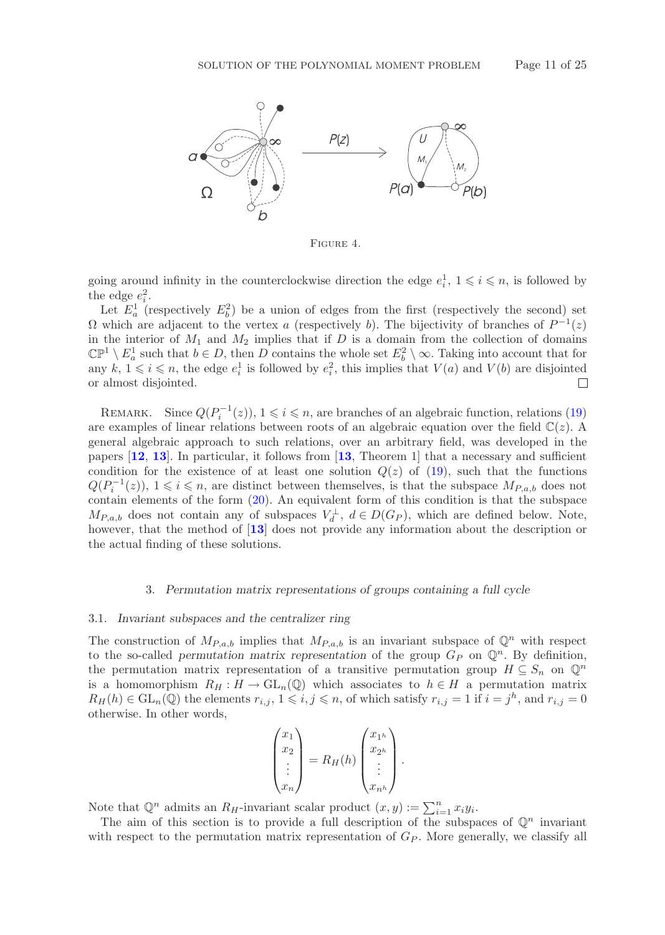

<span id="page-10-0"></span>Figure 4.

going around infinity in the counterclockwise direction the edge  $e_i^1$ ,  $1 \leq i \leq n$ , is followed by the edge  $e_i^2$ .

Let  $E_a^1$  (respectively  $E_b^2$ ) be a union of edges from the first (respectively the second) set  $\Omega$  which are adjacent to the vertex a (respectively b). The bijectivity of branches of  $P^{-1}(z)$ in the interior of  $M_1$  and  $M_2$  implies that if D is a domain from the collection of domains  $\mathbb{CP}^1 \setminus E^1_a$  such that  $b \in D$ , then D contains the whole set  $E^2_b \setminus \infty$ . Taking into account that for any  $k, 1 \leq i \leq n$ , the edge  $e_i^1$  is followed by  $e_i^2$ , this implies that  $V(a)$  and  $V(b)$  are disjointed or almost disjointed.  $\Box$ 

REMARK. Since  $Q(P_i^{-1}(z))$ ,  $1 \leq i \leq n$ , are branches of an algebraic function, relations [\(19\)](#page-5-3) are examples of linear relations between roots of an algebraic equation over the field  $\mathbb{C}(z)$ . A general algebraic approach to such relations, over an arbitrary field, was developed in the papers [**[12](#page-23-9)**, **[13](#page-23-10)**]. In particular, it follows from [**[13](#page-23-10)**, Theorem 1] that a necessary and sufficient condition for the existence of at least one solution  $Q(z)$  of [\(19\)](#page-5-3), such that the functions  $Q(P_i^{-1}(z))$ ,  $1 \leq i \leq n$ , are distinct between themselves, is that the subspace  $M_{P,a,b}$  does not contain elements of the form [\(20\)](#page-6-3). An equivalent form of this condition is that the subspace  $M_{P,a,b}$  does not contain any of subspaces  $V_d^{\perp}$ ,  $d \in D(G_P)$ , which are defined below. Note, however, that the method of [**[13](#page-23-10)**] does not provide any information about the description or the actual finding of these solutions.

## 3. *Permutation matrix representations of groups containing a full cycle*

#### 3.1. *Invariant subspaces and the centralizer ring*

The construction of  $M_{P,a,b}$  implies that  $M_{P,a,b}$  is an invariant subspace of  $\mathbb{Q}^n$  with respect to the so-called *permutation matrix representation* of the group  $G_P$  on  $\mathbb{Q}^n$ . By definition, the permutation matrix representation of a transitive permutation group  $H \subseteq S_n$  on  $\mathbb{Q}^n$ is a homomorphism  $R_H : H \to GL_n(\mathbb{Q})$  which associates to  $h \in H$  a permutation matrix  $R_H(h) \in GL_n(\mathbb{Q})$  the elements  $r_{i,j}, 1 \leqslant i,j \leqslant n$ , of which satisfy  $r_{i,j} = 1$  if  $i = j^h$ , and  $r_{i,j} = 0$ otherwise. In other words,

$$
\begin{pmatrix} x_1 \\ x_2 \\ \vdots \\ x_n \end{pmatrix} = R_H(h) \begin{pmatrix} x_{1^h} \\ x_{2^h} \\ \vdots \\ x_{n^h} \end{pmatrix}.
$$

Note that  $\mathbb{Q}^n$  admits an  $R_H$ -invariant scalar product  $(x, y) := \sum_{i=1}^n x_i y_i$ .

The aim of this section is to provide a full description of the subspaces of  $\mathbb{Q}^n$  invariant with respect to the permutation matrix representation of  $G_P$ . More generally, we classify all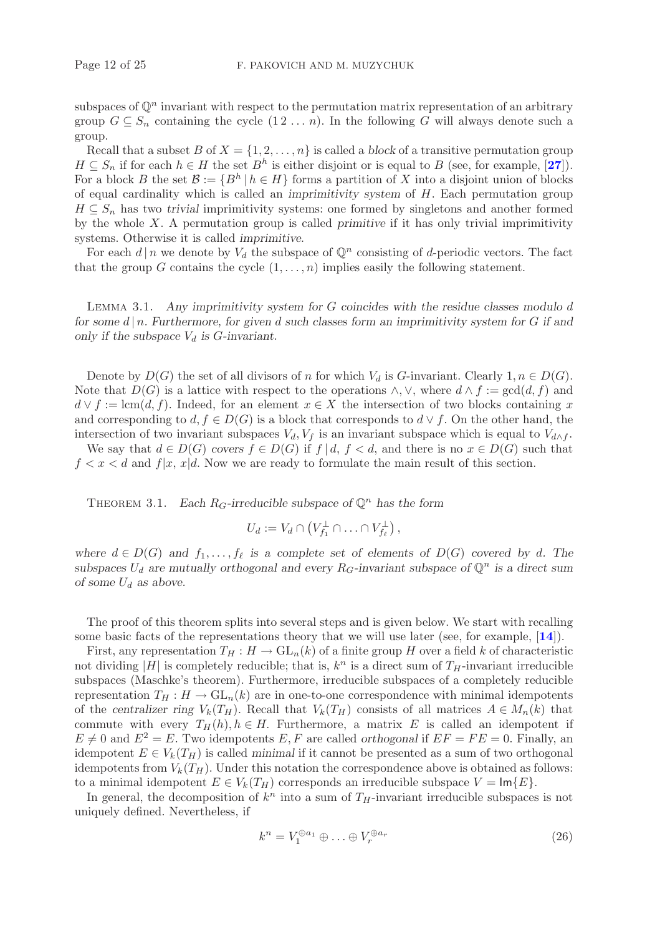subspaces of  $\mathbb{Q}^n$  invariant with respect to the permutation matrix representation of an arbitrary group  $G \subseteq S_n$  containing the cycle  $(1 2 \ldots n)$ . In the following G will always denote such a group.

Recall that a subset B of  $X = \{1, 2, ..., n\}$  is called a *block* of a transitive permutation group  $H \subseteq S_n$  if for each  $h \in H$  the set  $B^h$  is either disjoint or is equal to B (see, for example, [[27](#page-24-8)]). For a block B the set  $\mathcal{B} := \{B^h | h \in H\}$  forms a partition of X into a disjoint union of blocks of equal cardinality which is called an *imprimitivity system* of H. Each permutation group  $H \subseteq S_n$  has two *trivial* imprimitivity systems: one formed by singletons and another formed by the whole X. A permutation group is called *primitive* if it has only trivial imprimitivity systems. Otherwise it is called *imprimitive*.

For each  $d \mid n$  we denote by  $V_d$  the subspace of  $\mathbb{Q}^n$  consisting of d-periodic vectors. The fact that the group G contains the cycle  $(1,\ldots,n)$  implies easily the following statement.

Lemma 3.1. *Any imprimitivity system for* G *coincides with the residue classes modulo* d *for some* d | n*. Furthermore, for given* d *such classes form an imprimitivity system for* G *if and* only if the subspace  $V_d$  is *G*-invariant.

Denote by  $D(G)$  the set of all divisors of n for which  $V_d$  is G-invariant. Clearly  $1, n \in D(G)$ . Note that  $D(G)$  is a lattice with respect to the operations  $\wedge$ ,  $\vee$ , where  $d \wedge f := \gcd(d, f)$  and  $d \vee f := \text{lcm}(d, f)$ . Indeed, for an element  $x \in X$  the intersection of two blocks containing x and corresponding to  $d, f \in D(G)$  is a block that corresponds to  $d \vee f$ . On the other hand, the intersection of two invariant subspaces  $V_d$ ,  $V_f$  is an invariant subspace which is equal to  $V_{d \wedge f}$ .

We say that  $d \in D(G)$  *covers*  $f \in D(G)$  if  $f | d, f < d$ , and there is no  $x \in D(G)$  such that  $f < x < d$  and  $f|x, x|d$ . Now we are ready to formulate the main result of this section.

THEOREM 3.1. *Each*  $R_G$ -irreducible subspace of  $\mathbb{Q}^n$  has the form

$$
U_d := V_d \cap \left( V_{f_1}^{\perp} \cap \ldots \cap V_{f_{\ell}}^{\perp} \right),
$$

*where*  $d \in D(G)$  *and*  $f_1, \ldots, f_\ell$  *is a complete set of elements of*  $D(G)$  *covered by d.* The *subspaces*  $U_d$  are mutually orthogonal and every  $R_G$ -invariant subspace of  $\mathbb{Q}^n$  is a direct sum *of some*  $U_d$  *as above.* 

The proof of this theorem splits into several steps and is given below. We start with recalling some basic facts of the representations theory that we will use later (see, for example, [**[14](#page-23-11)**]).

First, any representation  $T_H : H \to GL_n(k)$  of a finite group H over a field k of characteristic not dividing |H| is completely reducible; that is,  $k^n$  is a direct sum of  $T_H$ -invariant irreducible subspaces (Maschke's theorem). Furthermore, irreducible subspaces of a completely reducible representation  $T_H : H \to GL_n(k)$  are in one-to-one correspondence with minimal idempotents of the *centralizer ring*  $V_k(T_H)$ . Recall that  $V_k(T_H)$  consists of all matrices  $A \in M_n(k)$  that commute with every  $T_H(h), h \in H$ . Furthermore, a matrix E is called an idempotent if  $E \neq 0$  and  $E^2 = E$ . Two idempotents E, F are called *orthogonal* if  $EF = FE = 0$ . Finally, an idempotent  $E \in V_k(T_H)$  is called *minimal* if it cannot be presented as a sum of two orthogonal idempotents from  $V_k(T_H)$ . Under this notation the correspondence above is obtained as follows: to a minimal idempotent  $E \in V_k(T_H)$  corresponds an irreducible subspace  $V = \text{Im}{E}$ .

In general, the decomposition of  $k^n$  into a sum of  $T_H$ -invariant irreducible subspaces is not uniquely defined. Nevertheless, if

$$
k^n = V_1^{\oplus a_1} \oplus \ldots \oplus V_r^{\oplus a_r} \tag{26}
$$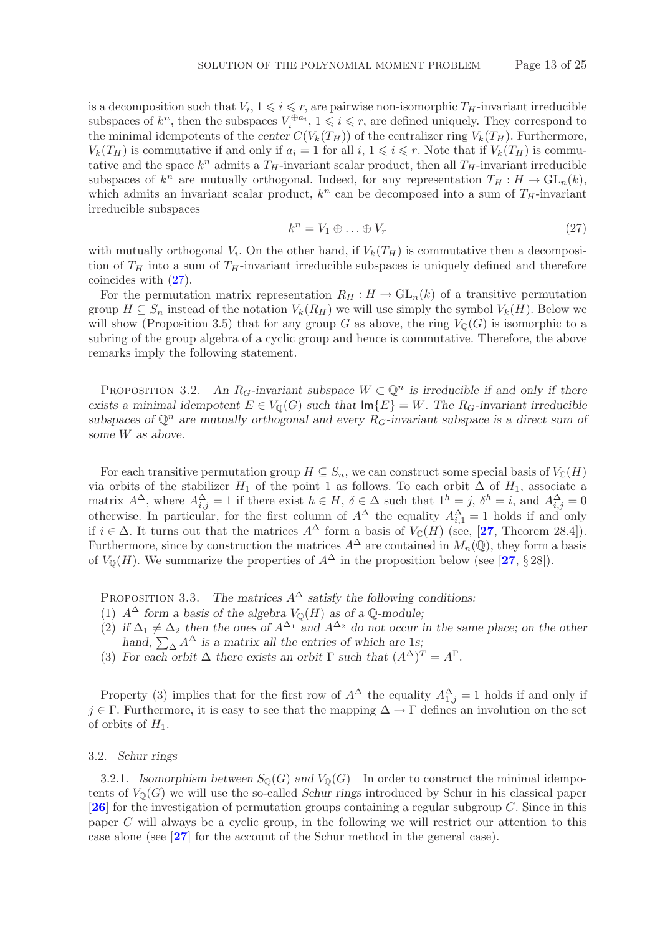is a decomposition such that  $V_i$ ,  $1 \leq i \leq r$ , are pairwise non-isomorphic  $T_H$ -invariant irreducible subspaces of  $k^n$ , then the subspaces  $V_i^{\oplus a_i}$ ,  $1 \leq i \leq r$ , are defined uniquely. They correspond to the minimal idempotents of the *center*  $C(V_k(T_H))$  of the *centralizer* ring  $V_k(T_H)$ . Furthermore,  $V_k(T_H)$  is commutative if and only if  $a_i = 1$  for all  $i, 1 \leq i \leq r$ . Note that if  $V_k(T_H)$  is commutative and the space  $k^n$  admits a  $T_H$ -invariant scalar product, then all  $T_H$ -invariant irreducible subspaces of  $k^n$  are mutually orthogonal. Indeed, for any representation  $T_H : H \to GL_n(k)$ , which admits an invariant scalar product,  $k^n$  can be decomposed into a sum of  $T_H$ -invariant irreducible subspaces

<span id="page-12-0"></span>
$$
k^n = V_1 \oplus \ldots \oplus V_r \tag{27}
$$

with mutually orthogonal  $V_i$ . On the other hand, if  $V_k(T_H)$  is commutative then a decomposition of  $T_H$  into a sum of  $T_H$ -invariant irreducible subspaces is uniquely defined and therefore coincides with [\(27\)](#page-12-0).

For the permutation matrix representation  $R_H : H \to GL_n(k)$  of a transitive permutation group  $H \subseteq S_n$  instead of the notation  $V_k(R_H)$  we will use simply the symbol  $V_k(H)$ . Below we will show (Proposition 3.5) that for any group G as above, the ring  $V_0(G)$  is isomorphic to a subring of the group algebra of a cyclic group and hence is commutative. Therefore, the above remarks imply the following statement.

PROPOSITION 3.2. An  $R_G$ -invariant subspace  $W \subset \mathbb{Q}^n$  is irreducible if and only if there *exists a minimal idempotent*  $E \in V_0(G)$  *such that*  $\text{Im}{E} = W$ *. The*  $R_G$ -*invariant irreducible* subspaces of  $\mathbb{Q}^n$  are mutually orthogonal and every  $R_G$ -invariant subspace is a direct sum of *some* W *as above.*

For each transitive permutation group  $H \subseteq S_n$ , we can construct some special basis of  $V_{\mathbb{C}}(H)$ via orbits of the stabilizer  $H_1$  of the point 1 as follows. To each orbit  $\Delta$  of  $H_1$ , associate a matrix  $A^{\Delta}$ , where  $A^{\Delta}_{i,j} = 1$  if there exist  $h \in H$ ,  $\delta \in \Delta$  such that  $1^h = j$ ,  $\delta^h = i$ , and  $A^{\Delta}_{i,j} = 0$ otherwise. In particular, for the first column of  $A^{\Delta}$  the equality  $A^{\Delta}_{i,1} = 1$  holds if and only if  $i \in \Delta$ . It turns out that the matrices  $A^{\Delta}$  form a basis of  $V_{\mathbb{C}}(H)$  (see, [[27](#page-24-8), Theorem 28.4]). Furthermore, since by construction the matrices  $A^{\Delta}$  are contained in  $M_n(\mathbb{Q})$ , they form a basis of  $V_{\mathbb{O}}(H)$ . We summarize the properties of  $A^{\Delta}$  in the proposition below (see [[27](#page-24-8), § 28]).

PROPOSITION 3.3. *The matrices*  $A^{\Delta}$  *satisfy the following conditions:* 

- (1)  $A^{\Delta}$  *form a basis of the algebra*  $V_{\mathbb{Q}}(H)$  *as of a*  $\mathbb{Q}$ *-module*;
- (2) if  $\Delta_1 \neq \Delta_2$  then the ones of  $A^{\Delta_1}$  and  $A^{\Delta_2}$  do not occur in the same place; on the other hand,  $\sum_{\Delta} A^{\Delta}$  *is a matrix all the entries of which are 1s;*
- (3) For each orbit  $\Delta$  there exists an orbit  $\Gamma$  such that  $(A^{\Delta})^T = A^{\Gamma}$ .

Property (3) implies that for the first row of  $A^{\Delta}$  the equality  $A_{1,j}^{\Delta}=1$  holds if and only if  $j \in \Gamma$ . Furthermore, it is easy to see that the mapping  $\Delta \to \Gamma$  defines an involution on the set of orbits of  $H_1$ .

#### 3.2. *Schur rings*

3.2.1. *Isomorphism between*  $S_{\mathbb{Q}}(G)$  *and*  $V_{\mathbb{Q}}(G)$  In order to construct the minimal idempotents of  $V_0(G)$  we will use the so-called *Schur rings* introduced by Schur in his classical paper [**[26](#page-24-9)**] for the investigation of permutation groups containing a regular subgroup C. Since in this paper C will always be a cyclic group, in the following we will restrict our attention to this case alone (see [**[27](#page-24-8)**] for the account of the Schur method in the general case).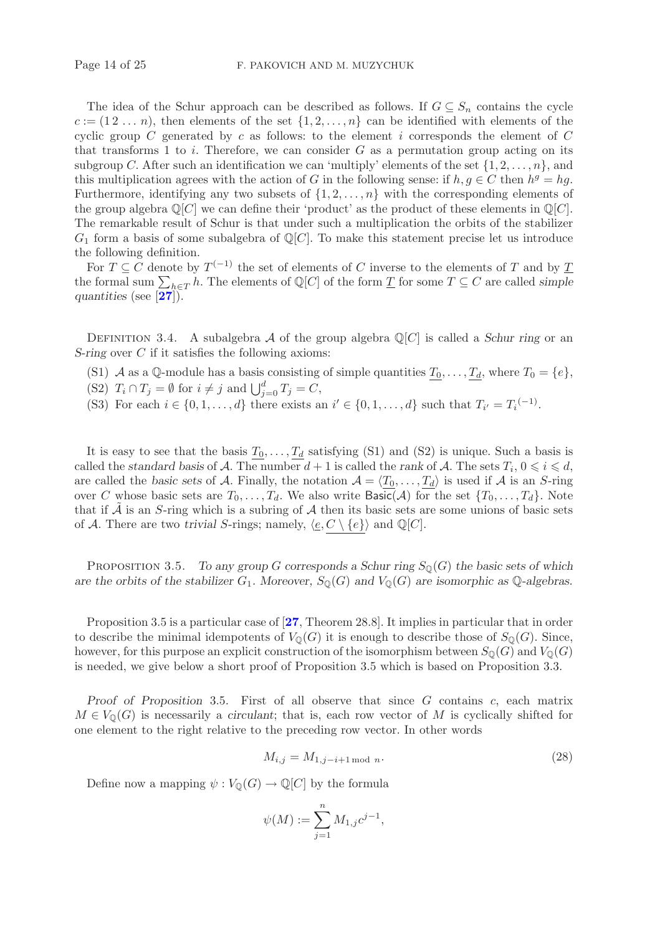The idea of the Schur approach can be described as follows. If  $G \subseteq S_n$  contains the cycle  $c := (1 \, 2 \, \ldots \, n)$ , then elements of the set  $\{1, 2, \ldots, n\}$  can be identified with elements of the cyclic group C generated by c as follows: to the element i corresponds the element of  $C$ that transforms 1 to i. Therefore, we can consider  $G$  as a permutation group acting on its subgroup C. After such an identification we can 'multiply' elements of the set  $\{1, 2, \ldots, n\}$ , and this multiplication agrees with the action of G in the following sense: if  $h, g \in C$  then  $h^g = hg$ . Furthermore, identifying any two subsets of  $\{1, 2, \ldots, n\}$  with the corresponding elements of the group algebra  $\mathbb{Q}[C]$  we can define their 'product' as the product of these elements in  $\mathbb{Q}[C]$ . The remarkable result of Schur is that under such a multiplication the orbits of the stabilizer  $G_1$  form a basis of some subalgebra of  $\mathbb{Q}[C]$ . To make this statement precise let us introduce the following definition.

For  $T \subseteq C$  denote by  $T^{(-1)}$  the set of elements of C inverse to the elements of T and by T the formal sum  $\sum_{h\in T} h$ . The elements of  $\mathbb{Q}[C]$  of the form  $\underline{T}$  for some  $T \subseteq C$  are called *simple quantities* (see [**[27](#page-24-8)**]).

DEFINITION 3.4. A subalgebra A of the group algebra  $\mathbb{Q}[C]$  is called a *Schur ring* or an *S-ring* over C if it satisfies the following axioms:

- (S1) A as a Q-module has a basis consisting of simple quantities  $\underline{T}_0,\ldots,\underline{T}_d$ , where  $T_0 = \{e\}$ ,
- (S2)  $T_i \cap T_j = \emptyset$  for  $i \neq j$  and  $\bigcup_{j=0}^d T_j = C$ ,
- (S3) For each  $i \in \{0, 1, \ldots, d\}$  there exists an  $i' \in \{0, 1, \ldots, d\}$  such that  $T_{i'} = T_i^{(-1)}$ .

It is easy to see that the basis  $T_0,\ldots,T_d$  satisfying (S1) and (S2) is unique. Such a basis is called the *standard basis* of A. The number  $d + 1$  is called the *rank* of A. The sets  $T_i$ ,  $0 \leq i \leq d$ , are called the *basic sets* of A. Finally, the notation  $A = \langle T_0, \ldots, T_d \rangle$  is used if A is an S-ring over C whose basic sets are  $T_0,\ldots,T_d$ . We also write Basic(A) for the set  $\{T_0,\ldots,T_d\}$ . Note that if  $\tilde{A}$  is an S-ring which is a subring of  $A$  then its basic sets are some unions of basic sets of A. There are two *trivial* S-rings; namely,  $\langle \underline{e}, C \setminus \{e\} \rangle$  and  $\mathbb{Q}[C]$ .

PROPOSITION 3.5. *To any group* G corresponds a Schur ring  $S_{\mathbb{Q}}(G)$  the basic sets of which *are the orbits of the stabilizer*  $G_1$ *. Moreover,*  $S_{\mathbb{Q}}(G)$  *and*  $V_{\mathbb{Q}}(G)$  *are isomorphic as*  $\mathbb{Q}$ *-algebras.* 

Proposition 3.5 is a particular case of [**[27](#page-24-8)**, Theorem 28.8]. It implies in particular that in order to describe the minimal idempotents of  $V_{\mathbb{Q}}(G)$  it is enough to describe those of  $S_{\mathbb{Q}}(G)$ . Since, however, for this purpose an explicit construction of the isomorphism between  $S_0(G)$  and  $V_0(G)$ is needed, we give below a short proof of Proposition 3.5 which is based on Proposition 3.3.

*Proof of Proposition* 3.5*.* First of all observe that since G contains c, each matrix  $M \in V_0(G)$  is necessarily a *circulant*; that is, each row vector of M is cyclically shifted for one element to the right relative to the preceding row vector. In other words

<span id="page-13-0"></span>
$$
M_{i,j} = M_{1,j-i+1 \mod n}.
$$
\n
$$
(28)
$$

Define now a mapping  $\psi : V_{\mathbb{Q}}(G) \to \mathbb{Q}[C]$  by the formula

$$
\psi(M):=\sum_{j=1}^n M_{1,j}c^{j-1},
$$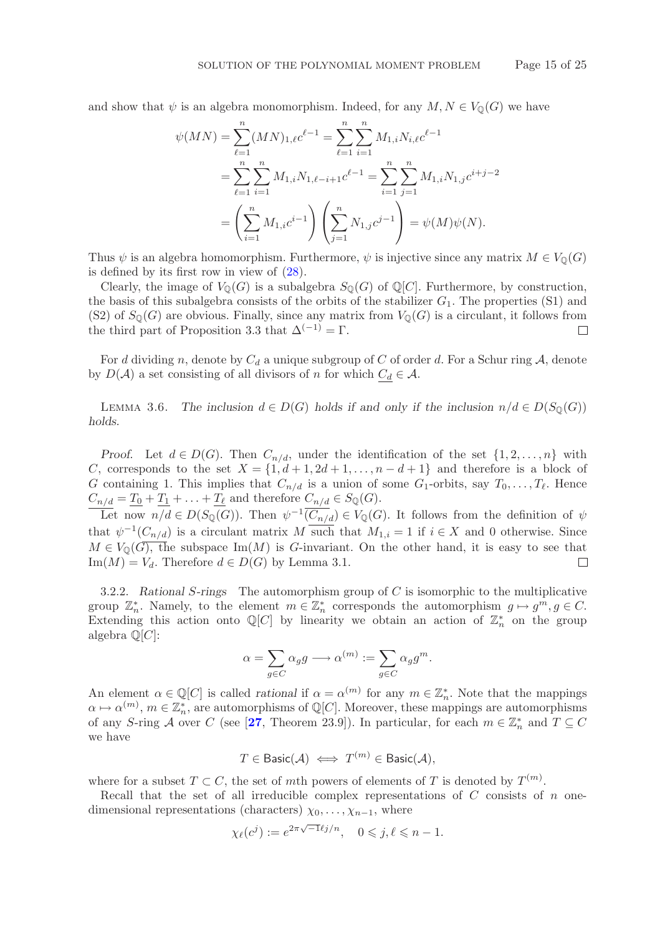and show that  $\psi$  is an algebra monomorphism. Indeed, for any  $M, N \in V_0(G)$  we have

$$
\psi(MN) = \sum_{\ell=1}^{n} (MN)_{1,\ell} c^{\ell-1} = \sum_{\ell=1}^{n} \sum_{i=1}^{n} M_{1,i} N_{i,\ell} c^{\ell-1}
$$
  
= 
$$
\sum_{\ell=1}^{n} \sum_{i=1}^{n} M_{1,i} N_{1,\ell-i+1} c^{\ell-1} = \sum_{i=1}^{n} \sum_{j=1}^{n} M_{1,i} N_{1,j} c^{i+j-2}
$$
  
= 
$$
\left(\sum_{i=1}^{n} M_{1,i} c^{i-1}\right) \left(\sum_{j=1}^{n} N_{1,j} c^{j-1}\right) = \psi(M)\psi(N).
$$

Thus  $\psi$  is an algebra homomorphism. Furthermore,  $\psi$  is injective since any matrix  $M \in V_0(G)$ is defined by its first row in view of [\(28\)](#page-13-0).

Clearly, the image of  $V_0(G)$  is a subalgebra  $S_0(G)$  of  $\mathbb{Q}[C]$ . Furthermore, by construction, the basis of this subalgebra consists of the orbits of the stabilizer  $G_1$ . The properties (S1) and (S2) of  $S_0(G)$  are obvious. Finally, since any matrix from  $V_0(G)$  is a circulant, it follows from the third part of Proposition 3.3 that  $\Delta^{(-1)} = \Gamma$ .  $\Box$ 

For d dividing n, denote by  $C_d$  a unique subgroup of C of order d. For a Schur ring A, denote by  $D(\mathcal{A})$  a set consisting of all divisors of n for which  $C_d \in \mathcal{A}$ .

LEMMA 3.6. *The inclusion*  $d \in D(G)$  *holds if and only if the inclusion*  $n/d \in D(S_0(G))$ *holds.*

*Proof.* Let  $d \in D(G)$ . Then  $C_{n/d}$ , under the identification of the set  $\{1, 2, ..., n\}$  with C, corresponds to the set  $X = \{1, d+1, 2d+1, \ldots, n-d+1\}$  and therefore is a block of G containing 1. This implies that  $C_{n/d}$  is a union of some  $G_1$ -orbits, say  $T_0, \ldots, T_\ell$ . Hence  $C_{n/d} = \underline{T_0} + \underline{T_1} + \ldots + \underline{T_\ell}$  and therefore  $C_{n/d} \in S_{\mathbb{Q}}(G)$ .

Let now  $n/d \in D(S_{\mathbb{Q}}(G))$ . Then  $\psi^{-1}(\overline{C_{n/d}}) \in V_{\mathbb{Q}}(G)$ . It follows from the definition of  $\psi$ that  $\psi^{-1}(C_{n/d})$  is a circulant matrix M such that  $M_{1,i} = 1$  if  $i \in X$  and 0 otherwise. Since  $M \in V_{\mathbb{Q}}(G)$ , the subspace Im $(M)$  is G-invariant. On the other hand, it is easy to see that  $\text{Im}(M) = V_d$ . Therefore  $d \in D(G)$  by Lemma 3.1.  $\Box$ 

3.2.2. *Rational* S*-rings* The automorphism group of C is isomorphic to the multiplicative group  $\mathbb{Z}_n^*$ . Namely, to the element  $m \in \mathbb{Z}_n^*$  corresponds the automorphism  $g \mapsto g^m, g \in C$ . Extending this action onto  $\mathbb{Q}[C]$  by linearity we obtain an action of  $\mathbb{Z}_n^*$  on the group algebra  $\mathbb{Q}[C]$ :

$$
\alpha = \sum_{g \in C} \alpha_g g \longrightarrow \alpha^{(m)} := \sum_{g \in C} \alpha_g g^m.
$$

An element  $\alpha \in \mathbb{Q}[C]$  is called *rational* if  $\alpha = \alpha^{(m)}$  for any  $m \in \mathbb{Z}_n^*$ . Note that the mappings  $\alpha \mapsto \alpha^{(m)}$ ,  $m \in \mathbb{Z}_n^*$ , are automorphisms of Q[C]. Moreover, these mappings are automorphisms of any S-ring A over C (see [[27](#page-24-8), Theorem 23.9]). In particular, for each  $m \in \mathbb{Z}_n^*$  and  $T \subseteq C$ we have

$$
T \in \text{Basic}(\mathcal{A}) \iff T^{(m)} \in \text{Basic}(\mathcal{A}),
$$

where for a subset  $T \subset C$ , the set of mth powers of elements of T is denoted by  $T^{(m)}$ .

Recall that the set of all irreducible complex representations of  $C$  consists of  $n$  onedimensional representations (characters)  $\chi_0, \ldots, \chi_{n-1}$ , where

$$
\chi_{\ell}(c^j) := e^{2\pi\sqrt{-1}\ell j/n}, \quad 0 \leqslant j, \ell \leqslant n-1.
$$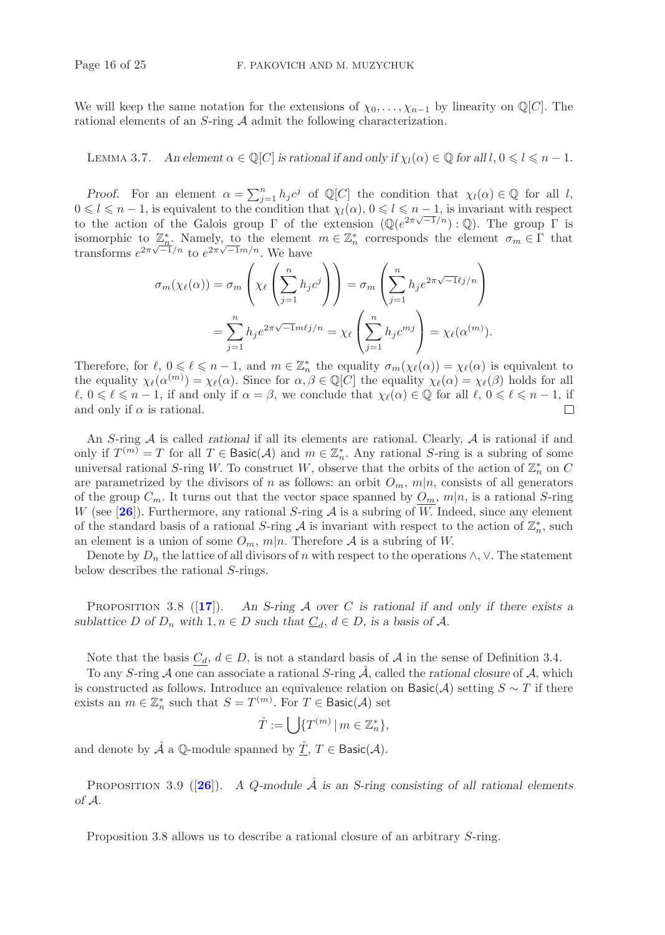We will keep the same notation for the extensions of  $\chi_0, \ldots, \chi_{n-1}$  by linearity on Q[C]. The rational elements of an  $S$ -ring  $A$  admit the following characterization.

LEMMA 3.7. An element  $\alpha \in \mathbb{Q}[C]$  *is rational if and only if*  $\chi_l(\alpha) \in \mathbb{Q}$  *for all*  $l, 0 \leq l \leq n - 1$ .

*Proof.* For an element  $\alpha = \sum_{j=1}^n h_j c^j$  of Q[C] the condition that  $\chi_l(\alpha) \in \mathbb{Q}$  for all l,  $0 \le l \le n - 1$ , is equivalent to the condition that  $\chi_l(\alpha)$ ,  $0 \le l \le n - 1$ , is invariant with respect to the action of the Galois group  $\Gamma$  of the extension  $(\mathbb{Q}(e^{2\pi\sqrt{-1}/n}) : \mathbb{Q})$ . The group  $\Gamma$  is isomorphic to  $\mathbb{Z}_n^*$ . Namely, to the element  $m \in \mathbb{Z}_n^*$  corresponds the element  $\sigma_m \in \Gamma$  that transforms  $e^{2\pi\sqrt{-1}/n}$  to  $e^{2\pi\sqrt{-1}m/n}$ . We have

$$
\sigma_m(\chi_{\ell}(\alpha)) = \sigma_m\left(\chi_{\ell}\left(\sum_{j=1}^n h_j c^j\right)\right) = \sigma_m\left(\sum_{j=1}^n h_j e^{2\pi\sqrt{-1}\ell j/n}\right)
$$

$$
= \sum_{j=1}^n h_j e^{2\pi\sqrt{-1}m\ell j/n} = \chi_{\ell}\left(\sum_{j=1}^n h_j c^{mj}\right) = \chi_{\ell}(\alpha^{(m)}).
$$

Therefore, for  $\ell, 0 \leq \ell \leq n-1$ , and  $m \in \mathbb{Z}_n^*$  the equality  $\sigma_m(\chi_{\ell}(\alpha)) = \chi_{\ell}(\alpha)$  is equivalent to the equality  $\chi_{\ell}(\alpha^{(m)}) = \chi_{\ell}(\alpha)$ . Since for  $\alpha, \beta \in \mathbb{Q}[C]$  the equality  $\chi_{\ell}(\alpha) = \chi_{\ell}(\beta)$  holds for all  $\ell, 0 \leq \ell \leq n-1$ , if and only if  $\alpha = \beta$ , we conclude that  $\chi_{\ell}(\alpha) \in \mathbb{Q}$  for all  $\ell, 0 \leq \ell \leq n-1$ , if and only if  $\alpha$  is rational.  $\Box$ 

An S-ring A is called *rational* if all its elements are rational. Clearly, A is rational if and only if  $T^{(m)} = T$  for all  $T \in \text{Basic}(\mathcal{A})$  and  $m \in \mathbb{Z}_n^*$ . Any rational S-ring is a subring of some universal rational S-ring W. To construct W, observe that the orbits of the action of  $\mathbb{Z}_n^*$  on C are parametrized by the divisors of n as follows: an orbit  $O_m$ ,  $m|n$ , consists of all generators of the group  $C_m$ . It turns out that the vector space spanned by  $O_m$ ,  $m|n$ , is a rational S-ring W (see  $[26]$  $[26]$  $[26]$ ). Furthermore, any rational S-ring A is a subring of W. Indeed, since any element of the standard basis of a rational S-ring A is invariant with respect to the action of  $\mathbb{Z}_n^*$ , such an element is a union of some  $O_m$ ,  $m|n$ . Therefore A is a subring of W.

Denote by  $D_n$  the lattice of all divisors of n with respect to the operations  $\wedge$ ,  $\vee$ . The statement below describes the rational S-rings.

Proposition 3.8 ([**[17](#page-23-12)**]). *An S-ring* A *over* C *is rational if and only if there exists a sublattice* D of  $D_n$  *with*  $1, n \in D$  *such that*  $C_d$ ,  $d \in D$ , *is a basis of* A.

Note that the basis  $C_d$ ,  $d \in D$ , is not a standard basis of A in the sense of Definition 3.4.

To any S-ring  $A$  one can associate a rational S-ring  $\overline{A}$ , called the *rational closure* of  $A$ , which is constructed as follows. Introduce an equivalence relation on  $\text{Basic}(\mathcal{A})$  setting  $S \sim T$  if there exists an  $m \in \mathbb{Z}_n^*$  such that  $S = T^{(m)}$ . For  $T \in \text{Basic}(\mathcal{A})$  set

$$
\mathring{T} := \bigcup \{ T^{(m)} \mid m \in \mathbb{Z}_n^* \},
$$

and denote by  $\mathring{\mathcal{A}}$  a  $\mathbb{Q}\text{-module spanned by }\mathring{\underline{T}}, T \in \mathsf{Basic}(\mathcal{A})$ .

PROPOSITION 3.9 ( $[26]$  $[26]$  $[26]$ ). *A Q-module*  $\AA$  *is an S-ring consisting of all rational elements of* A.

Proposition 3.8 allows us to describe a rational closure of an arbitrary S-ring.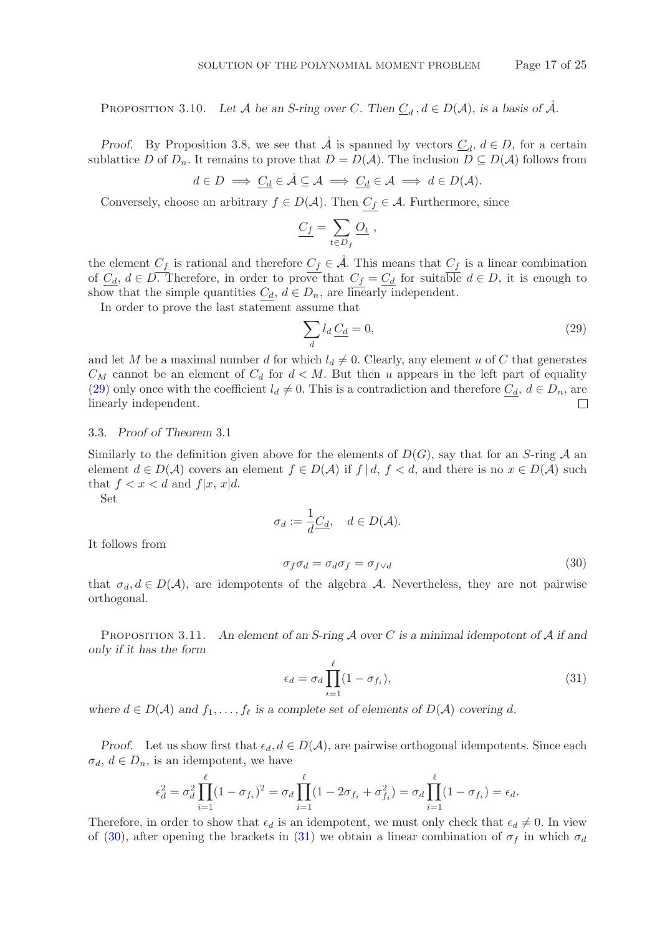PROPOSITION 3.10. Let A be an S-ring over C. Then  $\underline{C}_d$ ,  $d \in D(\mathcal{A})$ , is a basis of  $\mathcal{A}$ .

*Proof.* By Proposition 3.8, we see that  $\tilde{A}$  is spanned by vectors  $C_d$ ,  $d \in D$ , for a certain sublattice D of  $D_n$ . It remains to prove that  $D = D(\mathcal{A})$ . The inclusion  $D \subseteq D(\mathcal{A})$  follows from

$$
d \in D \implies \underline{C_d} \in \mathring{\mathcal{A}} \subseteq \mathcal{A} \implies \underline{C_d} \in \mathcal{A} \implies d \in D(\mathcal{A}).
$$

Conversely, choose an arbitrary  $f \in D(\mathcal{A})$ . Then  $C_f \in \mathcal{A}$ . Furthermore, since

$$
\underline{C_f} = \sum_{t \in D_f} \underline{O_t} \;,
$$

the element  $C_f$  is rational and therefore  $C_f \in \mathcal{A}$ . This means that  $C_f$  is a linear combination of  $\underline{C_d}$ ,  $d \in D$ . Therefore, in order to prove that  $\underline{C_f} = \underline{C_d}$  for suitable  $d \in D$ , it is enough to show that the simple quantities  $C_d$ ,  $d \in D_n$ , are linearly independent.

In order to prove the last statement assume that

<span id="page-16-0"></span>
$$
\sum_{d} l_d \underline{C_d} = 0,\tag{29}
$$

and let M be a maximal number d for which  $l_d \neq 0$ . Clearly, any element u of C that generates  $C_M$  cannot be an element of  $C_d$  for  $d < M$ . But then u appears in the left part of equality [\(29\)](#page-16-0) only once with the coefficient  $l_d \neq 0$ . This is a contradiction and therefore  $C_d$ ,  $d \in D_n$ , are linearly independent. П

## 3.3. *Proof of Theorem* 3.1

Similarly to the definition given above for the elements of  $D(G)$ , say that for an S-ring A an element  $d \in D(\mathcal{A})$  covers an element  $f \in D(\mathcal{A})$  if  $f \mid d, f < d$ , and there is no  $x \in D(\mathcal{A})$  such that  $f < x < d$  and  $f|x, x|d$ .

Set

$$
\sigma_d := \frac{1}{d} \underline{C_d}, \quad d \in D(\mathcal{A}).
$$

It follows from

<span id="page-16-1"></span>
$$
\sigma_f \sigma_d = \sigma_d \sigma_f = \sigma_{f \vee d} \tag{30}
$$

that  $\sigma_d, d \in D(\mathcal{A})$ , are idempotents of the algebra A. Nevertheless, they are not pairwise orthogonal.

Proposition 3.11. *An element of an S-ring* A *over* C *is a minimal idempotent of* A *if and only if it has the form*

<span id="page-16-2"></span>
$$
\epsilon_d = \sigma_d \prod_{i=1}^{\ell} (1 - \sigma_{f_i}),\tag{31}
$$

 $\theta$ 

*where*  $d \in D(\mathcal{A})$  *and*  $f_1, \ldots, f_\ell$  *is a complete set of elements of*  $D(\mathcal{A})$  *covering* d.

*Proof.* Let us show first that  $\epsilon_d, d \in D(\mathcal{A})$ , are pairwise orthogonal idempotents. Since each  $\sigma_d, d \in D_n$ , is an idempotent, we have

$$
\epsilon_d^2 = \sigma_d^2 \prod_{i=1}^{\ell} (1 - \sigma_{f_i})^2 = \sigma_d \prod_{i=1}^{\ell} (1 - 2\sigma_{f_i} + \sigma_{f_i}^2) = \sigma_d \prod_{i=1}^{\ell} (1 - \sigma_{f_i}) = \epsilon_d.
$$

Therefore, in order to show that  $\epsilon_d$  is an idempotent, we must only check that  $\epsilon_d \neq 0$ . In view of [\(30\)](#page-16-1), after opening the brackets in [\(31\)](#page-16-2) we obtain a linear combination of  $\sigma_f$  in which  $\sigma_d$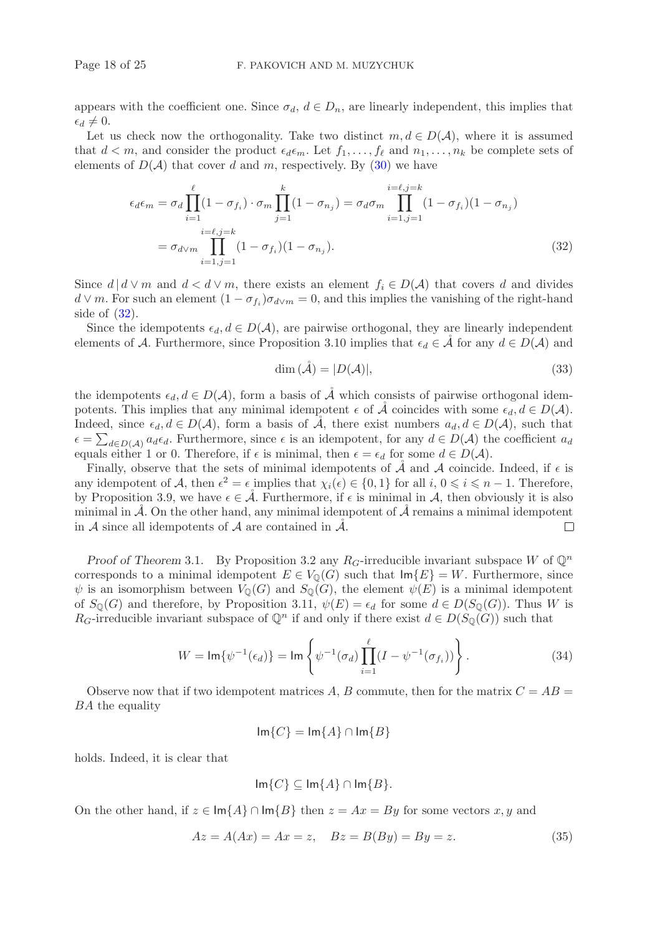appears with the coefficient one. Since  $\sigma_d$ ,  $d \in D_n$ , are linearly independent, this implies that  $\epsilon_d \neq 0.$ 

Let us check now the orthogonality. Take two distinct  $m, d \in D(\mathcal{A})$ , where it is assumed that  $d < m$ , and consider the product  $\epsilon_d \epsilon_m$ . Let  $f_1, \ldots, f_\ell$  and  $n_1, \ldots, n_k$  be complete sets of elements of  $D(\mathcal{A})$  that cover d and m, respectively. By [\(30\)](#page-16-1) we have

$$
\epsilon_d \epsilon_m = \sigma_d \prod_{i=1}^{\ell} (1 - \sigma_{f_i}) \cdot \sigma_m \prod_{j=1}^k (1 - \sigma_{n_j}) = \sigma_d \sigma_m \prod_{i=1, j=1}^{i=\ell, j=k} (1 - \sigma_{f_i}) (1 - \sigma_{n_j})
$$
  
=  $\sigma_{d \vee m} \prod_{i=1, j=1}^{i=\ell, j=k} (1 - \sigma_{f_i}) (1 - \sigma_{n_j}).$  (32)

Since  $d | d \vee m$  and  $d < d \vee m$ , there exists an element  $f_i \in D(A)$  that covers d and divides  $d \vee m$ . For such an element  $(1 - \sigma_{f_i})\sigma_{d \vee m} = 0$ , and this implies the vanishing of the right-hand side of  $(32)$ .

Since the idempotents  $\epsilon_d, d \in D(\mathcal{A})$ , are pairwise orthogonal, they are linearly independent elements of A. Furthermore, since Proposition 3.10 implies that  $\epsilon_d \in A$  for any  $d \in D(A)$  and

<span id="page-17-0"></span>
$$
\dim (\mathring{\mathcal{A}}) = |D(\mathcal{A})|,\tag{33}
$$

the idempotents  $\epsilon_d, d \in D(\mathcal{A})$ , form a basis of  $\mathcal A$  which consists of pairwise orthogonal idempotents. This implies that any minimal idempotent  $\epsilon$  of  $\tilde{\mathcal{A}}$  coincides with some  $\epsilon_d, d \in D(\mathcal{A})$ . Indeed, since  $\epsilon_d, d \in D(\mathcal{A})$ , form a basis of  $\mathcal{A}$ , there exist numbers  $a_d, d \in D(\mathcal{A})$ , such that  $\epsilon = \sum_{d \in D(\mathcal{A})} a_d \epsilon_d$ . Furthermore, since  $\epsilon$  is an idempotent, for any  $d \in D(\mathcal{A})$  the coefficient  $a_d$ equals either 1 or 0. Therefore, if  $\epsilon$  is minimal, then  $\epsilon = \epsilon_d$  for some  $d \in D(\mathcal{A})$ .

Finally, observe that the sets of minimal idempotents of  $\AA$  and  $\AA$  coincide. Indeed, if  $\epsilon$  is any idempotent of A, then  $\epsilon^2 = \epsilon$  implies that  $\chi_i(\epsilon) \in \{0,1\}$  for all  $i, 0 \leq i \leq n - 1$ . Therefore, by Proposition 3.9, we have  $\epsilon \in \mathcal{A}$ . Furthermore, if  $\epsilon$  is minimal in A, then obviously it is also minimal in  $\mathcal{A}$ . On the other hand, any minimal idempotent of  $\mathcal{A}$  remains a minimal idempotent in A since all idempotents of A are contained in  $\mathcal{A}$ .  $\Box$ 

*Proof of Theorem* 3.1. By Proposition 3.2 any  $R_G$ -irreducible invariant subspace W of  $\mathbb{Q}^n$ corresponds to a minimal idempotent  $E \in V_0(G)$  such that  $\text{Im}\{E\} = W$ . Furthermore, since  $\psi$  is an isomorphism between  $V_{\mathbb{Q}}(G)$  and  $S_{\mathbb{Q}}(G)$ , the element  $\psi(E)$  is a minimal idempotent of  $S_{\mathbb{Q}}(G)$  and therefore, by Proposition 3.11,  $\psi(E) = \epsilon_d$  for some  $d \in D(S_{\mathbb{Q}}(G))$ . Thus W is  $R_G$ -irreducible invariant subspace of  $\mathbb{Q}^n$  if and only if there exist  $d \in D(S_{\mathbb{Q}}(G))$  such that

<span id="page-17-1"></span>
$$
W = \text{Im}\{\psi^{-1}(\epsilon_d)\} = \text{Im}\left\{\psi^{-1}(\sigma_d)\prod_{i=1}^{\ell} (I - \psi^{-1}(\sigma_{f_i}))\right\}.
$$
 (34)

Observe now that if two idempotent matrices A, B commute, then for the matrix  $C = AB =$ BA the equality

$$
\operatorname{Im}\{C\} = \operatorname{Im}\{A\} \cap \operatorname{Im}\{B\}
$$

holds. Indeed, it is clear that

$$
\operatorname{Im}\{C\} \subseteq \operatorname{Im}\{A\} \cap \operatorname{Im}\{B\}.
$$

On the other hand, if  $z \in \text{Im}{A} \cap \text{Im}{B}$  then  $z = Ax = By$  for some vectors x, y and

$$
Az = A(Ax) = Ax = z
$$
,  $Bz = B(By) = By = z$ . (35)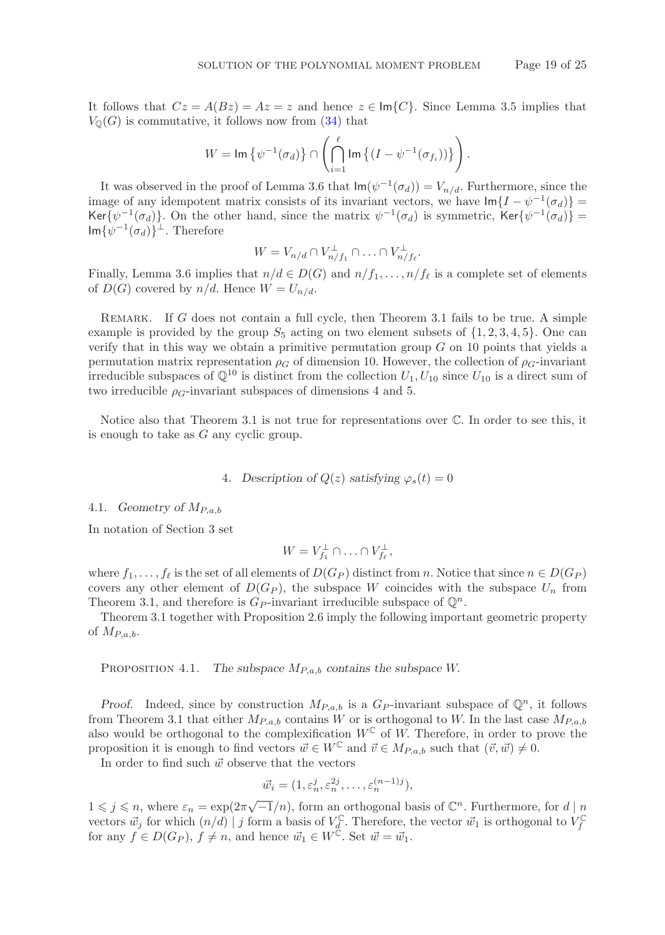It follows that  $Cz = A(Bz) = Az = z$  and hence  $z \in \text{Im}\{C\}$ . Since Lemma 3.5 implies that  $V_{\mathbb{Q}}(G)$  is commutative, it follows now from  $(34)$  that

$$
W = \operatorname{Im} \left\{ \psi^{-1}(\sigma_d) \right\} \cap \left( \bigcap_{i=1}^{\ell} \operatorname{Im} \left\{ (I - \psi^{-1}(\sigma_{f_i})) \right\} \right).
$$

It was observed in the proof of Lemma 3.6 that  $\text{Im}(\psi^{-1}(\sigma_d)) = V_{n/d}$ . Furthermore, since the image of any idempotent matrix consists of its invariant vectors, we have  $\text{Im}\{I-\psi^{-1}(\sigma_d)\}=$ Ker $\{\psi^{-1}(\sigma_d)\}\$ . On the other hand, since the matrix  $\psi^{-1}(\sigma_d)$  is symmetric, Ker $\{\psi^{-1}(\sigma_d)\}$  =  $\operatorname{Im}\{\psi^{-1}(\sigma_d)\}^{\perp}$ . Therefore

$$
W = V_{n/d} \cap V_{n/f_1}^{\perp} \cap \ldots \cap V_{n/f_{\ell}}^{\perp}.
$$

Finally, Lemma 3.6 implies that  $n/d \in D(G)$  and  $n/f_1, \ldots, n/f_\ell$  is a complete set of elements of  $D(G)$  covered by  $n/d$ . Hence  $W = U_{n/d}$ .

REMARK. If G does not contain a full cycle, then Theorem 3.1 fails to be true. A simple example is provided by the group  $S_5$  acting on two element subsets of  $\{1, 2, 3, 4, 5\}$ . One can verify that in this way we obtain a primitive permutation group  $G$  on 10 points that yields a permutation matrix representation  $\rho_G$  of dimension 10. However, the collection of  $\rho_G$ -invariant irreducible subspaces of  $\mathbb{Q}^{10}$  is distinct from the collection  $U_1, U_{10}$  since  $U_{10}$  is a direct sum of two irreducible  $\rho_G$ -invariant subspaces of dimensions 4 and 5.

Notice also that Theorem 3.1 is not true for representations over C. In order to see this, it is enough to take as G any cyclic group.

## 4. *Description of*  $Q(z)$  *satisfying*  $\varphi_s(t)=0$

## 4.1. *Geometry of* MP,a,b

In notation of Section 3 set

$$
W = V_{f_1}^{\perp} \cap \ldots \cap V_{f_{\ell}}^{\perp},
$$

where  $f_1,\ldots,f_\ell$  is the set of all elements of  $D(G_P)$  distinct from n. Notice that since  $n \in D(G_P)$ covers any other element of  $D(G_P)$ , the subspace W coincides with the subspace  $U_n$  from Theorem 3.1, and therefore is  $G_P$ -invariant irreducible subspace of  $\mathbb{Q}^n$ .

Theorem 3.1 together with Proposition 2.6 imply the following important geometric property of  $M_{P,a,b}$ .

PROPOSITION 4.1. *The subspace*  $M_{P,a,b}$  *contains the subspace* W.

*Proof.* Indeed, since by construction  $M_{P,a,b}$  is a  $G_P$ -invariant subspace of  $\mathbb{Q}^n$ , it follows from Theorem 3.1 that either  $M_{P,a,b}$  contains W or is orthogonal to W. In the last case  $M_{P,a,b}$ also would be orthogonal to the complexification  $W^{\mathbb{C}}$  of W. Therefore, in order to prove the proposition it is enough to find vectors  $\vec{w} \in W^{\mathbb{C}}$  and  $\vec{v} \in M_{P,a,b}$  such that  $(\vec{v}, \vec{w}) \neq 0$ .

In order to find such  $\vec{w}$  observe that the vectors

$$
\vec{w}_i = (1, \varepsilon_n^j, \varepsilon_n^{2j}, \dots, \varepsilon_n^{(n-1)j}),
$$

 $1 \leq j \leq n$ , where  $\varepsilon_n = \exp(2\pi\sqrt{-1}/n)$ , form an orthogonal basis of  $\mathbb{C}^n$ . Furthermore, for  $d | n$ vectors  $\vec{w}_j$  for which  $(n/d) | j$  form a basis of  $V_d^{\mathbb{C}}$ . Therefore, the vector  $\vec{w}_1$  is orthogonal to  $V_f^{\mathbb{C}}$  for any  $f \in D(G_P)$ ,  $f \neq n$ , and hence  $\vec{w}_1 \in W^{\mathbb{C}}$ . Set  $\vec{w} = \vec{w}_1$ .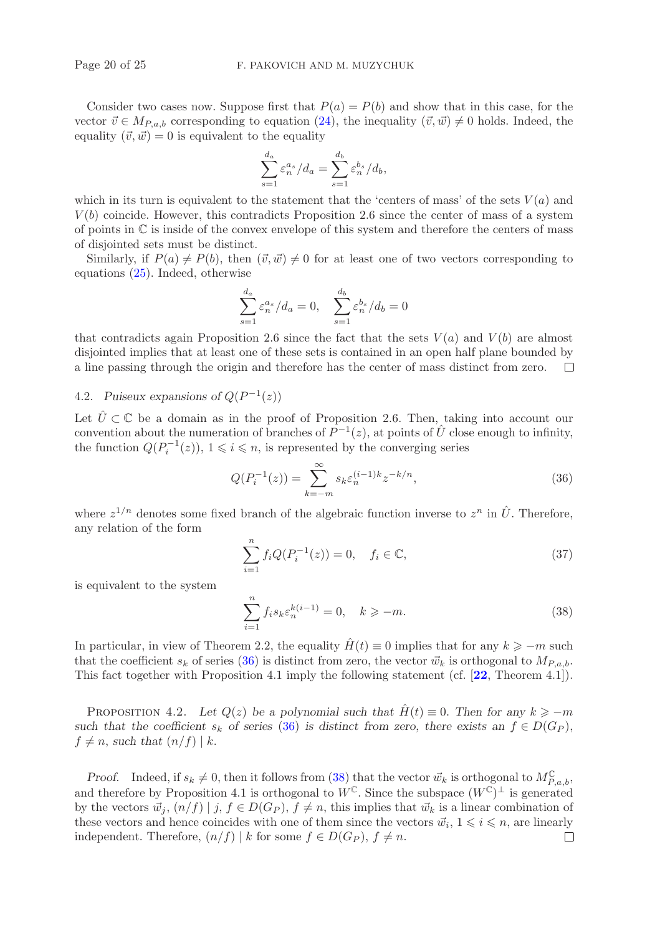Consider two cases now. Suppose first that  $P(a) = P(b)$  and show that in this case, for the vector  $\vec{v} \in M_{P,a,b}$  corresponding to equation [\(24\)](#page-7-0), the inequality  $(\vec{v}, \vec{w}) \neq 0$  holds. Indeed, the equality  $(\vec{v}, \vec{w}) = 0$  is equivalent to the equality

$$
\sum_{s=1}^{d_a} \varepsilon_n^{a_s} / d_a = \sum_{s=1}^{d_b} \varepsilon_n^{b_s} / d_b,
$$

which in its turn is equivalent to the statement that the 'centers of mass' of the sets  $V(a)$  and  $V(b)$  coincide. However, this contradicts Proposition 2.6 since the center of mass of a system of points in C is inside of the convex envelope of this system and therefore the centers of mass of disjointed sets must be distinct.

Similarly, if  $P(a) \neq P(b)$ , then  $(\vec{v}, \vec{w}) \neq 0$  for at least one of two vectors corresponding to equations [\(25\)](#page-7-1). Indeed, otherwise

$$
\sum_{s=1}^{d_a} \varepsilon_n^{a_s} / d_a = 0, \quad \sum_{s=1}^{d_b} \varepsilon_n^{b_s} / d_b = 0
$$

that contradicts again Proposition 2.6 since the fact that the sets  $V(a)$  and  $V(b)$  are almost disjointed implies that at least one of these sets is contained in an open half plane bounded by a line passing through the origin and therefore has the center of mass distinct from zero.  $\Box$ 

## 4.2. *Puiseux expansions of*  $Q(P^{-1}(z))$

Let  $\hat{U} \subset \mathbb{C}$  be a domain as in the proof of Proposition 2.6. Then, taking into account our convention about the numeration of branches of  $P^{-1}(z)$ , at points of  $\hat{U}$  close enough to infinity, the function  $Q(P_i^{-1}(z))$ ,  $1 \leq i \leq n$ , is represented by the converging series

<span id="page-19-0"></span>
$$
Q(P_i^{-1}(z)) = \sum_{k=-m}^{\infty} s_k \varepsilon_n^{(i-1)k} z^{-k/n},
$$
\n(36)

where  $z^{1/n}$  denotes some fixed branch of the algebraic function inverse to  $z^n$  in  $\hat{U}$ . Therefore, any relation of the form

$$
\sum_{i=1}^{n} f_i Q(P_i^{-1}(z)) = 0, \quad f_i \in \mathbb{C},
$$
\n(37)

is equivalent to the system

<span id="page-19-1"></span>
$$
\sum_{i=1}^{n} f_i s_k \varepsilon_n^{k(i-1)} = 0, \quad k \ge -m. \tag{38}
$$

In particular, in view of Theorem 2.2, the equality  $\hat{H}(t) \equiv 0$  implies that for any  $k \geq -m$  such that the coefficient  $s_k$  of series [\(36\)](#page-19-0) is distinct from zero, the vector  $\vec{w}_k$  is orthogonal to  $M_{P,a,b}$ . This fact together with Proposition 4.1 imply the following statement (cf. [**[22](#page-24-2)**, Theorem 4.1]).

PROPOSITION 4.2. Let  $Q(z)$  be a polynomial such that  $\hat{H}(t) \equiv 0$ . Then for any  $k \ge -m$ *such that the coefficient*  $s_k$  *of series* [\(36\)](#page-19-0) *is distinct from zero, there exists an*  $f \in D(G_P)$ ,  $f \neq n$ , such that  $(n/f) \mid k$ .

*Proof.* Indeed, if  $s_k \neq 0$ , then it follows from [\(38\)](#page-19-1) that the vector  $\vec{w}_k$  is orthogonal to  $M_{P,a,b}^{\mathbb{C}}$ , and therefore by Proposition 4.1 is orthogonal to  $W^{\mathbb{C}}$ . Since the subspace  $(W^{\mathbb{C}})^{\perp}$  is generated by the vectors  $\vec{w}_j$ ,  $(n/f) | j, f \in D(G_P)$ ,  $f \neq n$ , this implies that  $\vec{w}_k$  is a linear combination of these vectors and hence coincides with one of them since the vectors  $\vec{w}_i$ ,  $1 \leq i \leq n$ , are linearly independent. Therefore,  $(n/f) | k$  for some  $f \in D(G_P)$ ,  $f \neq n$ . П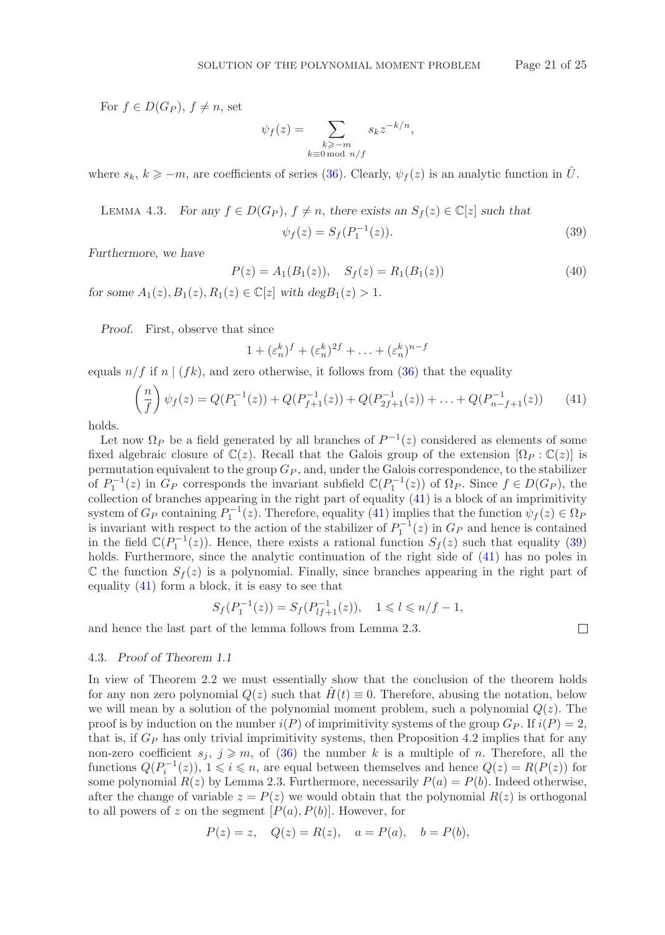For  $f \in D(G_P)$ ,  $f \neq n$ , set

$$
\psi_f(z) = \sum_{\substack{k \ge -m \\ k \equiv 0 \bmod n/f}} s_k z^{-k/n},
$$

where  $s_k, k \geq -m$ , are coefficients of series [\(36\)](#page-19-0). Clearly,  $\psi_f(z)$  is an analytic function in  $\hat{U}$ .

LEMMA 4.3. For any 
$$
f \in D(G_P)
$$
,  $f \neq n$ , there exists an  $S_f(z) \in \mathbb{C}[z]$  such that

<span id="page-20-1"></span>
$$
\psi_f(z) = S_f(P_1^{-1}(z)).\tag{39}
$$

 $\Box$ 

*Furthermore, we have*

$$
P(z) = A_1(B_1(z)), \quad S_f(z) = R_1(B_1(z))
$$
\n(40)

*for some*  $A_1(z), B_1(z), R_1(z) \in \mathbb{C}[z]$  *with deg* $B_1(z) > 1$ .

*Proof.* First, observe that since

$$
1 + (\varepsilon_n^k)^f + (\varepsilon_n^k)^{2f} + \ldots + (\varepsilon_n^k)^{n-f}
$$

equals  $n/f$  if n  $|(fk)$ , and zero otherwise, it follows from [\(36\)](#page-19-0) that the equality

<span id="page-20-0"></span>
$$
\left(\frac{n}{f}\right)\psi_f(z) = Q(P_1^{-1}(z)) + Q(P_{f+1}^{-1}(z)) + Q(P_{2f+1}^{-1}(z)) + \dots + Q(P_{n-f+1}^{-1}(z))\tag{41}
$$

holds.

Let now  $\Omega_P$  be a field generated by all branches of  $P^{-1}(z)$  considered as elements of some fixed algebraic closure of  $\mathbb{C}(z)$ . Recall that the Galois group of the extension  $[\Omega_P : \mathbb{C}(z)]$  is permutation equivalent to the group  $G_P$ , and, under the Galois correspondence, to the stabilizer of  $P_1^{-1}(z)$  in  $G_P$  corresponds the invariant subfield  $\mathbb{C}(P_1^{-1}(z))$  of  $\Omega_P$ . Since  $f \in D(G_P)$ , the collection of branches appearing in the right part of equality [\(41\)](#page-20-0) is a block of an imprimitivity system of  $G_P$  containing  $P_1^{-1}(z)$ . Therefore, equality [\(41\)](#page-20-0) implies that the function  $\psi_f(z) \in \Omega_P$ is invariant with respect to the action of the stabilizer of  $P_1^{-1}(z)$  in  $G_P$  and hence is contained in the field  $\mathbb{C}(P_1^{-1}(z))$ . Hence, there exists a rational function  $S_f(z)$  such that equality [\(39\)](#page-20-1) holds. Furthermore, since the analytic continuation of the right side of  $(41)$  has no poles in  $\mathbb C$  the function  $S_f(z)$  is a polynomial. Finally, since branches appearing in the right part of equality [\(41\)](#page-20-0) form a block, it is easy to see that

$$
S_f(P_1^{-1}(z)) = S_f(P_{lf+1}^{-1}(z)), \quad 1 \leq l \leq n/f - 1,
$$

and hence the last part of the lemma follows from Lemma 2.3.

## 4.3. *Proof of Theorem 1.1*

In view of Theorem 2.2 we must essentially show that the conclusion of the theorem holds for any non zero polynomial  $Q(z)$  such that  $H(t) \equiv 0$ . Therefore, abusing the notation, below we will mean by a solution of the polynomial moment problem, such a polynomial  $Q(z)$ . The proof is by induction on the number  $i(P)$  of imprimitivity systems of the group  $G_P$ . If  $i(P) = 2$ , that is, if  $G_P$  has only trivial imprimitivity systems, then Proposition 4.2 implies that for any non-zero coefficient  $s_j$ ,  $j \geqslant m$ , of [\(36\)](#page-19-0) the number k is a multiple of n. Therefore, all the functions  $Q(P_i^{-1}(z))$ ,  $1 \leq i \leq n$ , are equal between themselves and hence  $Q(z) = R(P(z))$  for some polynomial  $R(z)$  by Lemma 2.3. Furthermore, necessarily  $P(a) = P(b)$ . Indeed otherwise, after the change of variable  $z = P(z)$  we would obtain that the polynomial  $R(z)$  is orthogonal to all powers of z on the segment  $[P(a), P(b)]$ . However, for

$$
P(z) = z
$$
,  $Q(z) = R(z)$ ,  $a = P(a)$ ,  $b = P(b)$ ,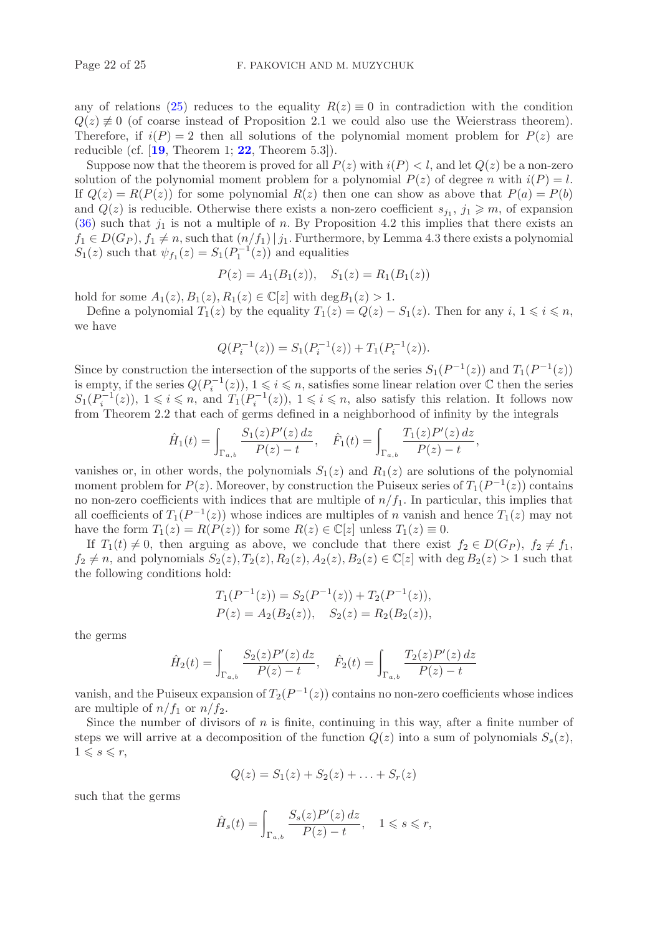any of relations [\(25\)](#page-7-1) reduces to the equality  $R(z) \equiv 0$  in contradiction with the condition  $Q(z) \neq 0$  (of coarse instead of Proposition 2.1 we could also use the Weierstrass theorem). Therefore, if  $i(P) = 2$  then all solutions of the polynomial moment problem for  $P(z)$  are reducible (cf. [**[19](#page-24-1)**, Theorem 1; **[22](#page-24-2)**, Theorem 5.3]).

Suppose now that the theorem is proved for all  $P(z)$  with  $i(P) < l$ , and let  $Q(z)$  be a non-zero solution of the polynomial moment problem for a polynomial  $P(z)$  of degree n with  $i(P) = l$ . If  $Q(z) = R(P(z))$  for some polynomial  $R(z)$  then one can show as above that  $P(a) = P(b)$ and  $Q(z)$  is reducible. Otherwise there exists a non-zero coefficient  $s_{j_1}, j_1 \geqslant m$ , of expansion  $(36)$  such that  $j_1$  is not a multiple of n. By Proposition 4.2 this implies that there exists an  $f_1 \in D(G_P)$ ,  $f_1 \neq n$ , such that  $(n/f_1)$   $j_1$ . Furthermore, by Lemma 4.3 there exists a polynomial  $S_1(z)$  such that  $\psi_{f_1}(z) = S_1(P_1^{-1}(z))$  and equalities

$$
P(z) = A_1(B_1(z)), \quad S_1(z) = R_1(B_1(z))
$$

hold for some  $A_1(z)$ ,  $B_1(z)$ ,  $R_1(z) \in \mathbb{C}[z]$  with  $\deg B_1(z) > 1$ .

Define a polynomial  $T_1(z)$  by the equality  $T_1(z) = Q(z) - S_1(z)$ . Then for any  $i, 1 \leq i \leq n$ , we have

$$
Q(P_i^{-1}(z)) = S_1(P_i^{-1}(z)) + T_1(P_i^{-1}(z)).
$$

Since by construction the intersection of the supports of the series  $S_1(P^{-1}(z))$  and  $T_1(P^{-1}(z))$ is empty, if the series  $Q(P_i^{-1}(z))$ ,  $1 \leq i \leq n$ , satisfies some linear relation over  $\mathbb C$  then the series  $S_1(P_i^{-1}(z))$ ,  $1 \leq i \leq n$ , and  $T_1(P_i^{-1}(z))$ ,  $1 \leq i \leq n$ , also satisfy this relation. It follows now from Theorem 2.2 that each of germs defined in a neighborhood of infinity by the integrals

$$
\hat{H}_1(t) = \int_{\Gamma_{a,b}} \frac{S_1(z)P'(z) dz}{P(z) - t}, \quad \hat{F}_1(t) = \int_{\Gamma_{a,b}} \frac{T_1(z)P'(z) dz}{P(z) - t},
$$

vanishes or, in other words, the polynomials  $S_1(z)$  and  $R_1(z)$  are solutions of the polynomial moment problem for  $P(z)$ . Moreover, by construction the Puiseux series of  $T_1(P^{-1}(z))$  contains no non-zero coefficients with indices that are multiple of  $n/f_1$ . In particular, this implies that all coefficients of  $T_1(P^{-1}(z))$  whose indices are multiples of n vanish and hence  $T_1(z)$  may not have the form  $T_1(z) = R(P(z))$  for some  $R(z) \in \mathbb{C}[z]$  unless  $T_1(z) \equiv 0$ .

If  $T_1(t) \neq 0$ , then arguing as above, we conclude that there exist  $f_2 \in D(G_P)$ ,  $f_2 \neq f_1$ ,  $f_2 \neq n$ , and polynomials  $S_2(z), T_2(z), R_2(z), A_2(z), B_2(z) \in \mathbb{C}[z]$  with deg  $B_2(z) > 1$  such that the following conditions hold:

$$
T_1(P^{-1}(z)) = S_2(P^{-1}(z)) + T_2(P^{-1}(z)),
$$
  
\n
$$
P(z) = A_2(B_2(z)), \quad S_2(z) = R_2(B_2(z)),
$$

the germs

$$
\hat{H}_2(t) = \int_{\Gamma_{a,b}} \frac{S_2(z)P'(z) dz}{P(z) - t}, \quad \hat{F}_2(t) = \int_{\Gamma_{a,b}} \frac{T_2(z)P'(z) dz}{P(z) - t}
$$

vanish, and the Puiseux expansion of  $T_2(P^{-1}(z))$  contains no non-zero coefficients whose indices are multiple of  $n/f_1$  or  $n/f_2$ .

Since the number of divisors of  $n$  is finite, continuing in this way, after a finite number of steps we will arrive at a decomposition of the function  $Q(z)$  into a sum of polynomials  $S_s(z)$ ,  $1 \leqslant s \leqslant r$ ,

$$
Q(z) = S_1(z) + S_2(z) + \ldots + S_r(z)
$$

such that the germs

$$
\hat{H}_s(t) = \int_{\Gamma_{a,b}} \frac{S_s(z)P'(z)\,dz}{P(z)-t}, \quad 1 \leqslant s \leqslant r,
$$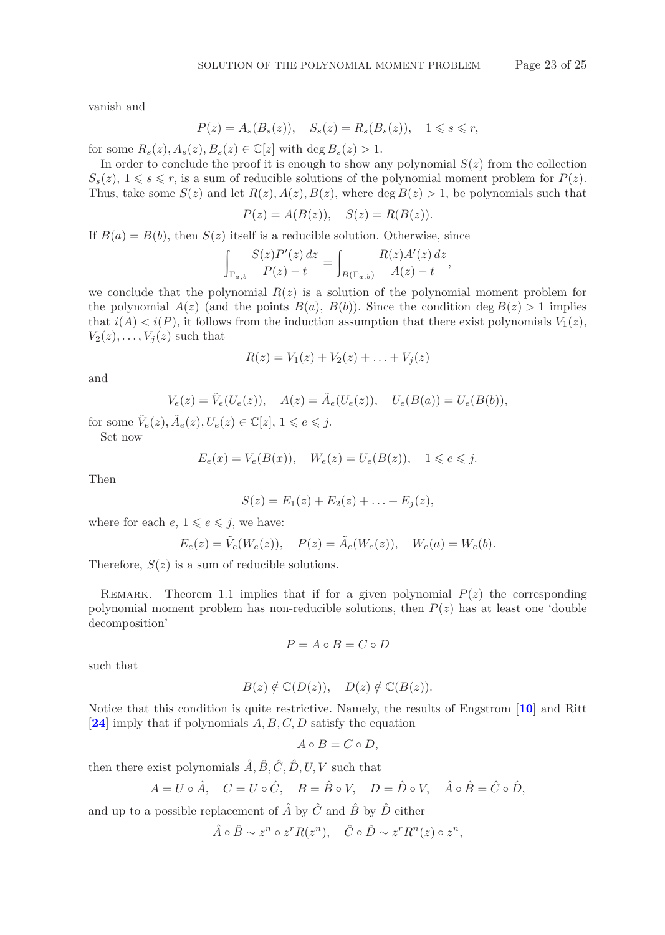vanish and

$$
P(z) = A_s(B_s(z)), \quad S_s(z) = R_s(B_s(z)), \quad 1 \le s \le r,
$$

for some  $R_s(z)$ ,  $A_s(z)$ ,  $B_s(z) \in \mathbb{C}[z]$  with  $\deg B_s(z) > 1$ .

In order to conclude the proof it is enough to show any polynomial  $S(z)$  from the collection  $S_s(z)$ ,  $1 \leq s \leq r$ , is a sum of reducible solutions of the polynomial moment problem for  $P(z)$ . Thus, take some  $S(z)$  and let  $R(z)$ ,  $A(z)$ ,  $B(z)$ , where deg  $B(z) > 1$ , be polynomials such that

$$
P(z) = A(B(z)), \quad S(z) = R(B(z)).
$$

If  $B(a) = B(b)$ , then  $S(z)$  itself is a reducible solution. Otherwise, since

$$
\int_{\Gamma_{a,b}} \frac{S(z)P'(z) dz}{P(z) - t} = \int_{B(\Gamma_{a,b})} \frac{R(z)A'(z) dz}{A(z) - t},
$$

we conclude that the polynomial  $R(z)$  is a solution of the polynomial moment problem for the polynomial  $A(z)$  (and the points  $B(a)$ ,  $B(b)$ ). Since the condition deg  $B(z) > 1$  implies that  $i(A) < i(P)$ , it follows from the induction assumption that there exist polynomials  $V_1(z)$ ,  $V_2(z),\ldots,V_i(z)$  such that

$$
R(z) = V_1(z) + V_2(z) + \ldots + V_j(z)
$$

and

$$
V_e(z) = \tilde{V}_e(U_e(z)), \quad A(z) = \tilde{A}_e(U_e(z)), \quad U_e(B(a)) = U_e(B(b)),
$$

for some  $\tilde{V}_e(z), \tilde{A}_e(z), U_e(z) \in \mathbb{C}[z], 1 \leq e \leq j.$ Set now

$$
E_e(x) = V_e(B(x)), \quad W_e(z) = U_e(B(z)), \quad 1 \le e \le j.
$$

Then

$$
S(z) = E_1(z) + E_2(z) + \ldots + E_j(z),
$$

where for each  $e, 1 \leqslant e \leqslant j$ , we have:

$$
E_e(z) = \tilde{V}_e(W_e(z)), \quad P(z) = \tilde{A}_e(W_e(z)), \quad W_e(a) = W_e(b).
$$

Therefore,  $S(z)$  is a sum of reducible solutions.

REMARK. Theorem 1.1 implies that if for a given polynomial  $P(z)$  the corresponding polynomial moment problem has non-reducible solutions, then  $P(z)$  has at least one 'double decomposition'

$$
P = A \circ B = C \circ D
$$

such that

$$
B(z) \notin \mathbb{C}(D(z)), \quad D(z) \notin \mathbb{C}(B(z)).
$$

Notice that this condition is quite restrictive. Namely, the results of Engstrom [**[10](#page-23-13)**] and Ritt [**[24](#page-24-10)**] imply that if polynomials A, B, C, D satisfy the equation

$$
A \circ B = C \circ D,
$$

then there exist polynomials  $\hat{A}, \hat{B}, \hat{C}, \hat{D}, U, V$  such that

$$
A = U \circ \hat{A}, \quad C = U \circ \hat{C}, \quad B = \hat{B} \circ V, \quad D = \hat{D} \circ V, \quad \hat{A} \circ \hat{B} = \hat{C} \circ \hat{D},
$$

and up to a possible replacement of  $\hat{A}$  by  $\hat{C}$  and  $\hat{B}$  by  $\hat{D}$  either

$$
\hat{A} \circ \hat{B} \sim z^n \circ z^r R(z^n), \quad \hat{C} \circ \hat{D} \sim z^r R^n(z) \circ z^n,
$$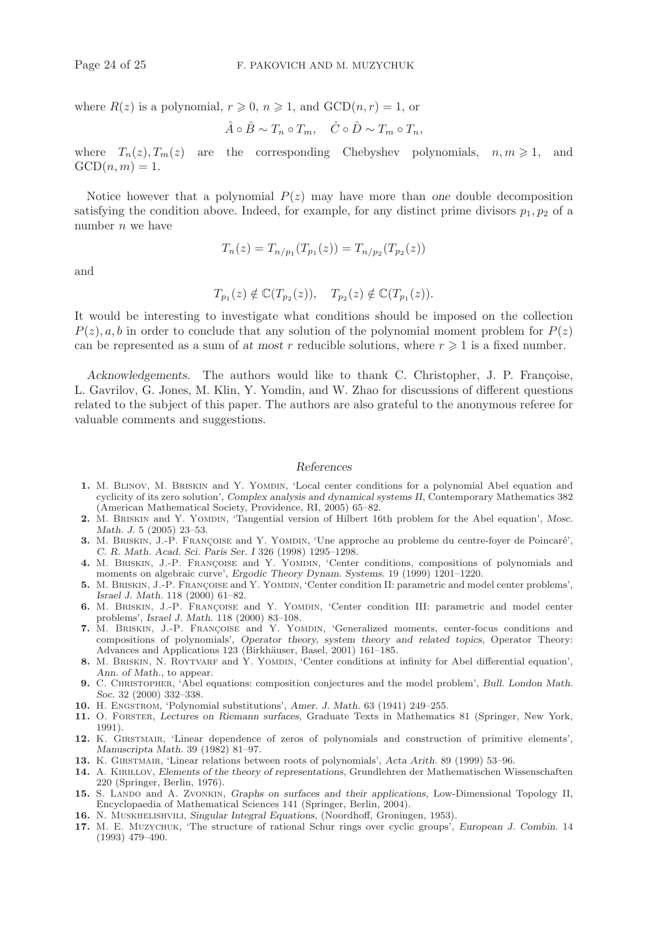where  $R(z)$  is a polynomial,  $r \geqslant 0$ ,  $n \geqslant 1$ , and  $GCD(n,r)=1$ , or

$$
\hat{A} \circ \hat{B} \sim T_n \circ T_m, \quad \hat{C} \circ \hat{D} \sim T_m \circ T_n,
$$

where  $T_n(z)$ ,  $T_m(z)$  are the corresponding Chebyshev polynomials,  $n, m \ge 1$ , and  $GCD(n, m)=1.$ 

Notice however that a polynomial  $P(z)$  may have more than one double decomposition satisfying the condition above. Indeed, for example, for any distinct prime divisors  $p_1, p_2$  of a number  $n$  we have

$$
T_n(z) = T_{n/p_1}(T_{p_1}(z)) = T_{n/p_2}(T_{p_2}(z))
$$

and

$$
T_{p_1}(z) \notin \mathbb{C}(T_{p_2}(z)), \quad T_{p_2}(z) \notin \mathbb{C}(T_{p_1}(z)).
$$

It would be interesting to investigate what conditions should be imposed on the collection  $P(z)$ , a, b in order to conclude that any solution of the polynomial moment problem for  $P(z)$ can be represented as a sum of at most r reducible solutions, where  $r \geq 1$  is a fixed number.

*Acknowledgements.* The authors would like to thank C. Christopher, J. P. Françoise, L. Gavrilov, G. Jones, M. Klin, Y. Yomdin, and W. Zhao for discussions of different questions related to the subject of this paper. The authors are also grateful to the anonymous referee for valuable comments and suggestions.

#### *References*

- <span id="page-23-2"></span>1. M. BLINOV, M. BRISKIN and Y. YOMDIN, 'Local center conditions for a polynomial Abel equation and cyclicity of its zero solution', *Complex analysis and dynamical systems II*, Contemporary Mathematics 382 (American Mathematical Society, Providence, RI, 2005) 65–82.
- 2. M. BRISKIN and Y. YOMDIN, 'Tangential version of Hilbert 16th problem for the Abel equation', *Mosc. Math. J.* 5 (2005) 23–53.
- <span id="page-23-0"></span>**3.** M. BRISKIN, J.-P. FRANÇOISE and Y. YOMDIN, 'Une approche au probleme du centre-foyer de Poincaré', *C. R. Math. Acad. Sci. Paris Ser. I* 326 (1998) 1295–1298.
- 4. M. BRISKIN, J.-P. FRANÇOISE and Y. YOMDIN, 'Center conditions, compositions of polynomials and moments on algebraic curve', *Ergodic Theory Dynam. Systems.* 19 (1999) 1201–1220.
- <span id="page-23-4"></span>5. M. BRISKIN, J.-P. FRANÇOISE and Y. YOMDIN, 'Center condition II: parametric and model center problems', *Israel J. Math.* 118 (2000) 61–82.
- <span id="page-23-1"></span>6. M. BRISKIN, J.-P. FRANÇOISE and Y. YOMDIN, 'Center condition III: parametric and model center problems', *Israel J. Math.* 118 (2000) 83–108.
- **7.** M. BRISKIN, J.-P. FRANÇOISE and Y. YOMDIN, 'Generalized moments, center-focus conditions and compositions of polynomials', *Operator theory, system theory and related topics*, Operator Theory: Advances and Applications 123 (Birkhäuser, Basel, 2001) 161-185.
- <span id="page-23-5"></span>8. M. BRISKIN, N. ROYTVARF and Y. YOMDIN, 'Center conditions at infinity for Abel differential equation', *Ann. of Math.*, to appear.
- <span id="page-23-3"></span>**9.** C. Christopher, 'Abel equations: composition conjectures and the model problem', *Bull. London Math. Soc.* 32 (2000) 332–338.
- <span id="page-23-13"></span><span id="page-23-6"></span>**10.** H. Engstrom, 'Polynomial substitutions', *Amer. J. Math.* 63 (1941) 249–255.
- **11.** O. Forster, *Lectures on Riemann surfaces*, Graduate Texts in Mathematics 81 (Springer, New York, 1991).
- <span id="page-23-9"></span>**12.** K. Girstmair, 'Linear dependence of zeros of polynomials and construction of primitive elements', *Manuscripta Math.* 39 (1982) 81–97.
- <span id="page-23-11"></span><span id="page-23-10"></span>**13.** K. Girstmair, 'Linear relations between roots of polynomials', *Acta Arith.* 89 (1999) 53–96.
- **14.** A. Kirillov, *Elements of the theory of representations*, Grundlehren der Mathematischen Wissenschaften 220 (Springer, Berlin, 1976).
- <span id="page-23-7"></span>15. S. LANDO and A. ZVONKIN, *Graphs on surfaces and their applications*, Low-Dimensional Topology II, Encyclopaedia of Mathematical Sciences 141 (Springer, Berlin, 2004).
- <span id="page-23-12"></span><span id="page-23-8"></span>**16.** N. Muskhelishvili, *Singular Integral Equations*, (Noordhoff, Groningen, 1953).
- **17.** M. E. Muzychuk, 'The structure of rational Schur rings over cyclic groups', *European J. Combin.* 14 (1993) 479–490.